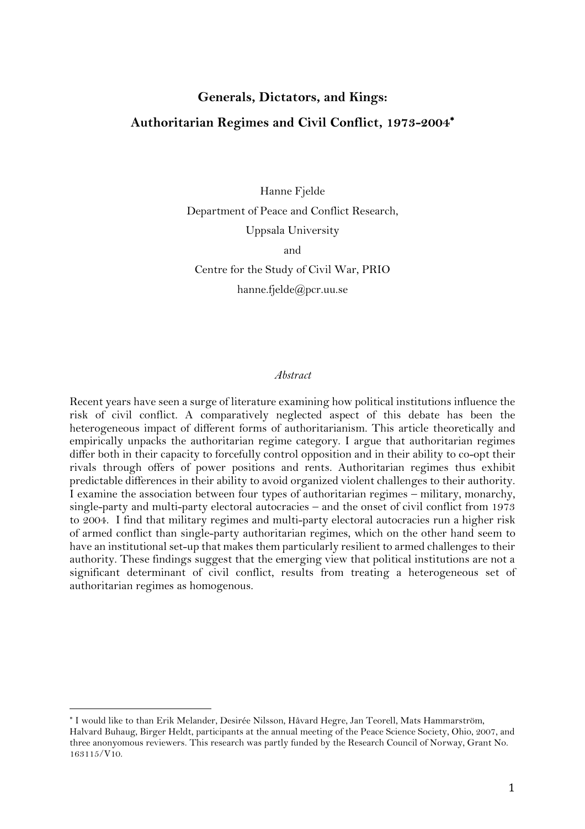# **Generals, Dictators, and Kings: Authoritarian Regimes and Civil Conflict, 1973-2004**

Hanne Fjelde Department of Peace and Conflict Research, Uppsala University and

Centre for the Study of Civil War, PRIO hanne.fjelde@pcr.uu.se

#### *Abstract*

Recent years have seen a surge of literature examining how political institutions influence the risk of civil conflict. A comparatively neglected aspect of this debate has been the heterogeneous impact of different forms of authoritarianism. This article theoretically and empirically unpacks the authoritarian regime category. I argue that authoritarian regimes differ both in their capacity to forcefully control opposition and in their ability to co-opt their rivals through offers of power positions and rents. Authoritarian regimes thus exhibit predictable differences in their ability to avoid organized violent challenges to their authority. I examine the association between four types of authoritarian regimes – military, monarchy, single-party and multi-party electoral autocracies – and the onset of civil conflict from 1973 to 2004. I find that military regimes and multi-party electoral autocracies run a higher risk of armed conflict than single-party authoritarian regimes, which on the other hand seem to have an institutional set-up that makes them particularly resilient to armed challenges to their authority. These findings suggest that the emerging view that political institutions are not a significant determinant of civil conflict, results from treating a heterogeneous set of authoritarian regimes as homogenous.

I would like to than Erik Melander, Desirée Nilsson, Håvard Hegre, Jan Teorell, Mats Hammarström, Halvard Buhaug, Birger Heldt, participants at the annual meeting of the Peace Science Society, Ohio, 2007, and three anonyomous reviewers. This research was partly funded by the Research Council of Norway, Grant No. 163115/V10.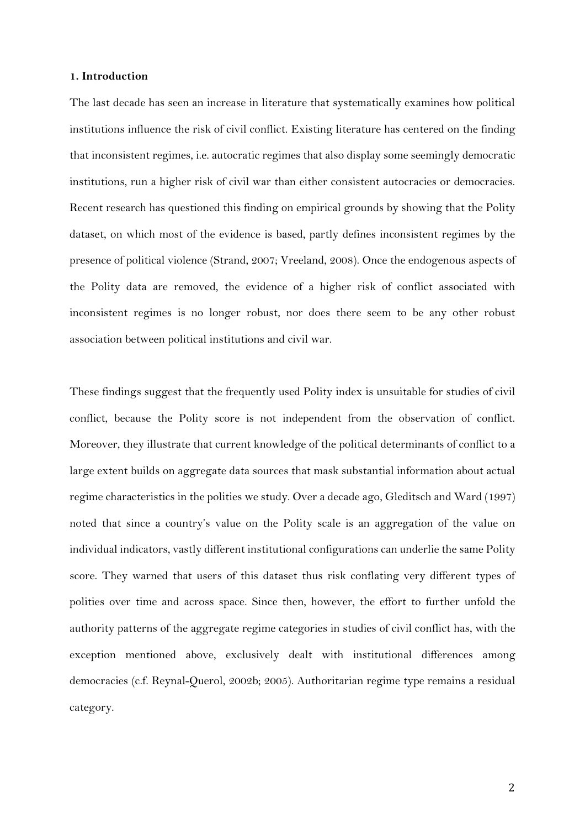# **1. Introduction**

The last decade has seen an increase in literature that systematically examines how political institutions influence the risk of civil conflict. Existing literature has centered on the finding that inconsistent regimes, i.e. autocratic regimes that also display some seemingly democratic institutions, run a higher risk of civil war than either consistent autocracies or democracies. Recent research has questioned this finding on empirical grounds by showing that the Polity dataset, on which most of the evidence is based, partly defines inconsistent regimes by the presence of political violence (Strand, 2007; Vreeland, 2008). Once the endogenous aspects of the Polity data are removed, the evidence of a higher risk of conflict associated with inconsistent regimes is no longer robust, nor does there seem to be any other robust association between political institutions and civil war.

These findings suggest that the frequently used Polity index is unsuitable for studies of civil conflict, because the Polity score is not independent from the observation of conflict. Moreover, they illustrate that current knowledge of the political determinants of conflict to a large extent builds on aggregate data sources that mask substantial information about actual regime characteristics in the polities we study. Over a decade ago, Gleditsch and Ward (1997) noted that since a country's value on the Polity scale is an aggregation of the value on individual indicators, vastly different institutional configurations can underlie the same Polity score. They warned that users of this dataset thus risk conflating very different types of polities over time and across space. Since then, however, the effort to further unfold the authority patterns of the aggregate regime categories in studies of civil conflict has, with the exception mentioned above, exclusively dealt with institutional differences among democracies (c.f. Reynal-Querol, 2002b; 2005). Authoritarian regime type remains a residual category.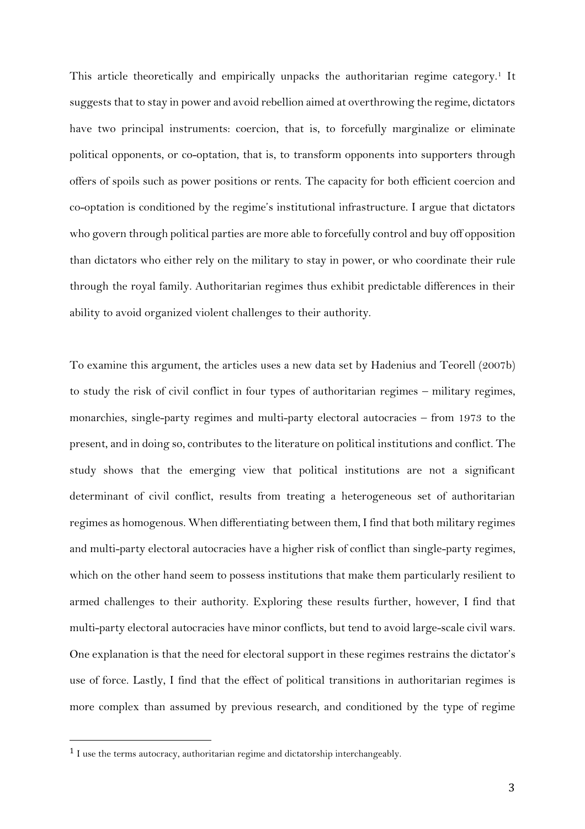This article theoretically and empirically unpacks the authoritarian regime category.<sup>1</sup> It suggests that to stay in power and avoid rebellion aimed at overthrowing the regime, dictators have two principal instruments: coercion, that is, to forcefully marginalize or eliminate political opponents, or co-optation, that is, to transform opponents into supporters through offers of spoils such as power positions or rents. The capacity for both efficient coercion and co-optation is conditioned by the regime's institutional infrastructure. I argue that dictators who govern through political parties are more able to forcefully control and buy off opposition than dictators who either rely on the military to stay in power, or who coordinate their rule through the royal family. Authoritarian regimes thus exhibit predictable differences in their ability to avoid organized violent challenges to their authority.

To examine this argument, the articles uses a new data set by Hadenius and Teorell (2007b) to study the risk of civil conflict in four types of authoritarian regimes – military regimes, monarchies, single-party regimes and multi-party electoral autocracies – from 1973 to the present, and in doing so, contributes to the literature on political institutions and conflict. The study shows that the emerging view that political institutions are not a significant determinant of civil conflict, results from treating a heterogeneous set of authoritarian regimes as homogenous. When differentiating between them, I find that both military regimes and multi-party electoral autocracies have a higher risk of conflict than single-party regimes, which on the other hand seem to possess institutions that make them particularly resilient to armed challenges to their authority. Exploring these results further, however, I find that multi-party electoral autocracies have minor conflicts, but tend to avoid large-scale civil wars. One explanation is that the need for electoral support in these regimes restrains the dictator's use of force. Lastly, I find that the effect of political transitions in authoritarian regimes is more complex than assumed by previous research, and conditioned by the type of regime

<sup>&</sup>lt;sup>1</sup> I use the terms autocracy, authoritarian regime and dictatorship interchangeably.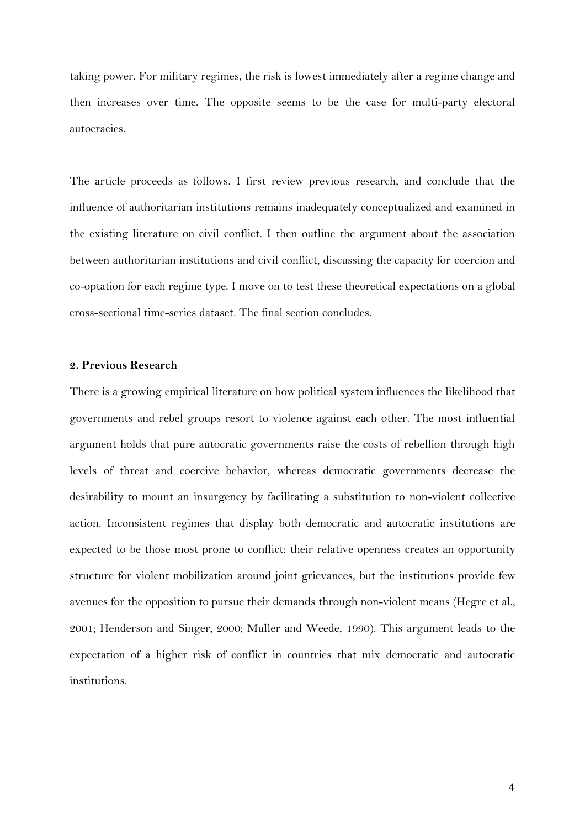taking power. For military regimes, the risk is lowest immediately after a regime change and then increases over time. The opposite seems to be the case for multi-party electoral autocracies.

The article proceeds as follows. I first review previous research, and conclude that the influence of authoritarian institutions remains inadequately conceptualized and examined in the existing literature on civil conflict. I then outline the argument about the association between authoritarian institutions and civil conflict, discussing the capacity for coercion and co-optation for each regime type. I move on to test these theoretical expectations on a global cross-sectional time-series dataset. The final section concludes.

# **2. Previous Research**

There is a growing empirical literature on how political system influences the likelihood that governments and rebel groups resort to violence against each other. The most influential argument holds that pure autocratic governments raise the costs of rebellion through high levels of threat and coercive behavior, whereas democratic governments decrease the desirability to mount an insurgency by facilitating a substitution to non-violent collective action. Inconsistent regimes that display both democratic and autocratic institutions are expected to be those most prone to conflict: their relative openness creates an opportunity structure for violent mobilization around joint grievances, but the institutions provide few avenues for the opposition to pursue their demands through non-violent means (Hegre et al., 2001; Henderson and Singer, 2000; Muller and Weede, 1990). This argument leads to the expectation of a higher risk of conflict in countries that mix democratic and autocratic institutions.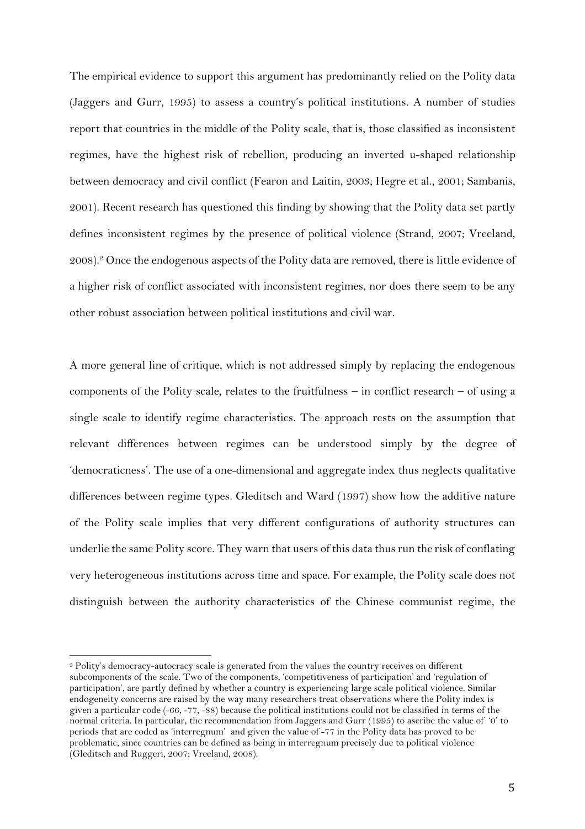The empirical evidence to support this argument has predominantly relied on the Polity data (Jaggers and Gurr, 1995) to assess a country's political institutions. A number of studies report that countries in the middle of the Polity scale, that is, those classified as inconsistent regimes, have the highest risk of rebellion, producing an inverted u-shaped relationship between democracy and civil conflict (Fearon and Laitin, 2003; Hegre et al., 2001; Sambanis, 2001). Recent research has questioned this finding by showing that the Polity data set partly defines inconsistent regimes by the presence of political violence (Strand, 2007; Vreeland, 2008).<sup>2</sup> Once the endogenous aspects of the Polity data are removed, there is little evidence of a higher risk of conflict associated with inconsistent regimes, nor does there seem to be any other robust association between political institutions and civil war.

A more general line of critique, which is not addressed simply by replacing the endogenous components of the Polity scale, relates to the fruitfulness – in conflict research – of using a single scale to identify regime characteristics. The approach rests on the assumption that relevant differences between regimes can be understood simply by the degree of 'democraticness'. The use of a one-dimensional and aggregate index thus neglects qualitative differences between regime types. Gleditsch and Ward (1997) show how the additive nature of the Polity scale implies that very different configurations of authority structures can underlie the same Polity score. They warn that users of this data thus run the risk of conflating very heterogeneous institutions across time and space. For example, the Polity scale does not distinguish between the authority characteristics of the Chinese communist regime, the

 $\overline{a}$ <sup>2</sup> Polity's democracy-autocracy scale is generated from the values the country receives on different subcomponents of the scale. Two of the components, 'competitiveness of participation' and 'regulation of participation', are partly defined by whether a country is experiencing large scale political violence. Similar endogeneity concerns are raised by the way many researchers treat observations where the Polity index is given a particular code (-66, -77, -88) because the political institutions could not be classified in terms of the normal criteria. In particular, the recommendation from Jaggers and Gurr (1995) to ascribe the value of '0' to periods that are coded as 'interregnum' and given the value of -77 in the Polity data has proved to be problematic, since countries can be defined as being in interregnum precisely due to political violence (Gleditsch and Ruggeri, 2007; Vreeland, 2008).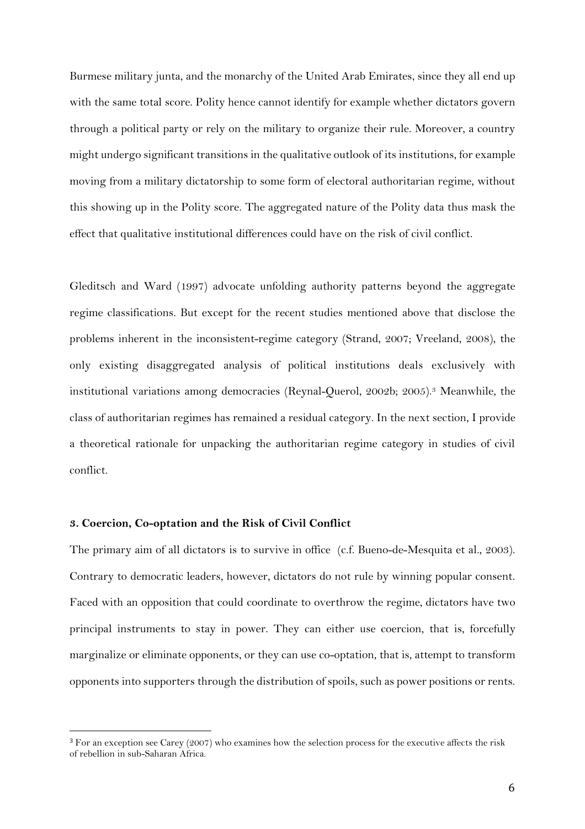Burmese military junta, and the monarchy of the United Arab Emirates, since they all end up with the same total score. Polity hence cannot identify for example whether dictators govern through a political party or rely on the military to organize their rule. Moreover, a country might undergo significant transitions in the qualitative outlook of its institutions, for example moving from a military dictatorship to some form of electoral authoritarian regime, without this showing up in the Polity score. The aggregated nature of the Polity data thus mask the effect that qualitative institutional differences could have on the risk of civil conflict.

Gleditsch and Ward (1997) advocate unfolding authority patterns beyond the aggregate regime classifications. But except for the recent studies mentioned above that disclose the problems inherent in the inconsistent-regime category (Strand, 2007; Vreeland, 2008), the only existing disaggregated analysis of political institutions deals exclusively with institutional variations among democracies (Reynal-Querol, 2002b; 2005).<sup>3</sup> Meanwhile, the class of authoritarian regimes has remained a residual category. In the next section, I provide a theoretical rationale for unpacking the authoritarian regime category in studies of civil conflict.

## **3. Coercion, Co-optation and the Risk of Civil Conflict**

 $\overline{a}$ 

The primary aim of all dictators is to survive in office (c.f. Bueno-de-Mesquita et al., 2003). Contrary to democratic leaders, however, dictators do not rule by winning popular consent. Faced with an opposition that could coordinate to overthrow the regime, dictators have two principal instruments to stay in power. They can either use coercion, that is, forcefully marginalize or eliminate opponents, or they can use co-optation, that is, attempt to transform opponents into supporters through the distribution of spoils, such as power positions or rents.

<sup>3</sup> For an exception see Carey (2007) who examines how the selection process for the executive affects the risk of rebellion in sub-Saharan Africa.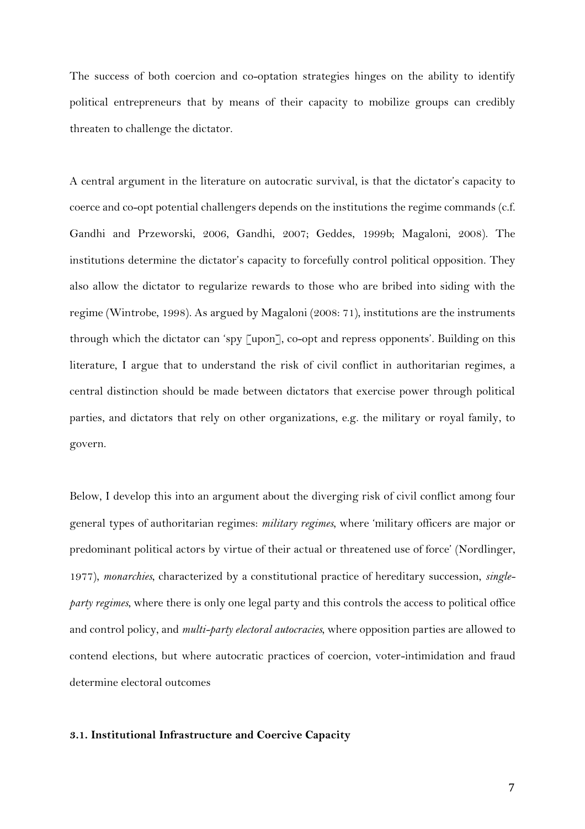The success of both coercion and co-optation strategies hinges on the ability to identify political entrepreneurs that by means of their capacity to mobilize groups can credibly threaten to challenge the dictator.

A central argument in the literature on autocratic survival, is that the dictator's capacity to coerce and co-opt potential challengers depends on the institutions the regime commands (c.f. Gandhi and Przeworski, 2006, Gandhi, 2007; Geddes, 1999b; Magaloni, 2008). The institutions determine the dictator's capacity to forcefully control political opposition. They also allow the dictator to regularize rewards to those who are bribed into siding with the regime (Wintrobe, 1998). As argued by Magaloni (2008: 71), institutions are the instruments through which the dictator can 'spy [upon], co-opt and repress opponents'. Building on this literature, I argue that to understand the risk of civil conflict in authoritarian regimes, a central distinction should be made between dictators that exercise power through political parties, and dictators that rely on other organizations, e.g. the military or royal family, to govern.

Below, I develop this into an argument about the diverging risk of civil conflict among four general types of authoritarian regimes: *military regimes*, where 'military officers are major or predominant political actors by virtue of their actual or threatened use of force' (Nordlinger, 1977), *monarchies*, characterized by a constitutional practice of hereditary succession, *singleparty regimes*, where there is only one legal party and this controls the access to political office and control policy, and *multi-party electoral autocracies*, where opposition parties are allowed to contend elections, but where autocratic practices of coercion, voter-intimidation and fraud determine electoral outcomes

#### **3.1. Institutional Infrastructure and Coercive Capacity**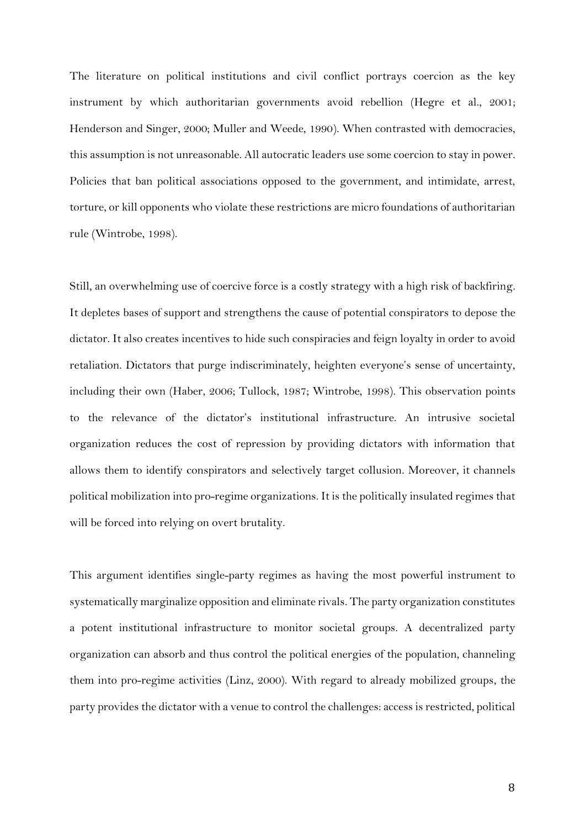The literature on political institutions and civil conflict portrays coercion as the key instrument by which authoritarian governments avoid rebellion (Hegre et al., 2001; Henderson and Singer, 2000; Muller and Weede, 1990). When contrasted with democracies, this assumption is not unreasonable. All autocratic leaders use some coercion to stay in power. Policies that ban political associations opposed to the government, and intimidate, arrest, torture, or kill opponents who violate these restrictions are micro foundations of authoritarian rule (Wintrobe, 1998).

Still, an overwhelming use of coercive force is a costly strategy with a high risk of backfiring. It depletes bases of support and strengthens the cause of potential conspirators to depose the dictator. It also creates incentives to hide such conspiracies and feign loyalty in order to avoid retaliation. Dictators that purge indiscriminately, heighten everyone's sense of uncertainty, including their own (Haber, 2006; Tullock, 1987; Wintrobe, 1998). This observation points to the relevance of the dictator's institutional infrastructure. An intrusive societal organization reduces the cost of repression by providing dictators with information that allows them to identify conspirators and selectively target collusion. Moreover, it channels political mobilization into pro-regime organizations. It is the politically insulated regimes that will be forced into relying on overt brutality.

This argument identifies single-party regimes as having the most powerful instrument to systematically marginalize opposition and eliminate rivals. The party organization constitutes a potent institutional infrastructure to monitor societal groups. A decentralized party organization can absorb and thus control the political energies of the population, channeling them into pro-regime activities (Linz, 2000). With regard to already mobilized groups, the party provides the dictator with a venue to control the challenges: access is restricted, political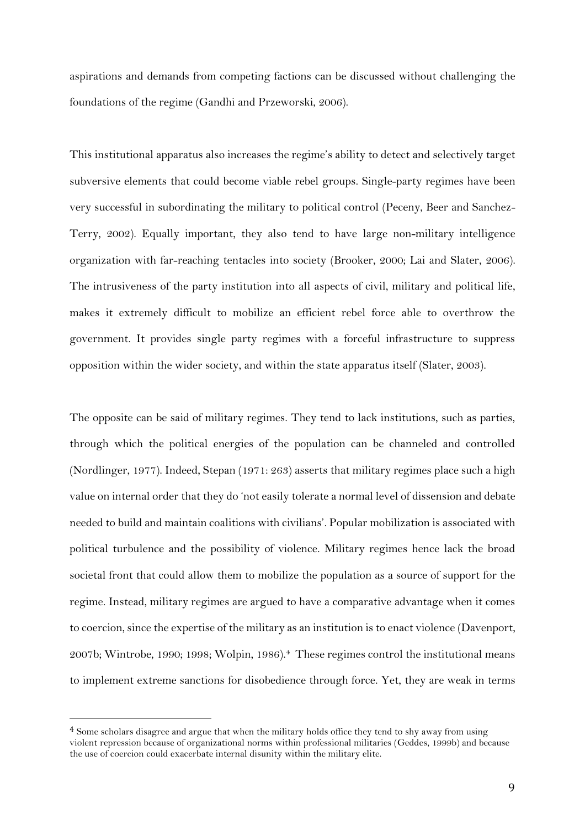aspirations and demands from competing factions can be discussed without challenging the foundations of the regime (Gandhi and Przeworski, 2006).

This institutional apparatus also increases the regime's ability to detect and selectively target subversive elements that could become viable rebel groups. Single-party regimes have been very successful in subordinating the military to political control (Peceny, Beer and Sanchez-Terry, 2002). Equally important, they also tend to have large non-military intelligence organization with far-reaching tentacles into society (Brooker, 2000; Lai and Slater, 2006). The intrusiveness of the party institution into all aspects of civil, military and political life, makes it extremely difficult to mobilize an efficient rebel force able to overthrow the government. It provides single party regimes with a forceful infrastructure to suppress opposition within the wider society, and within the state apparatus itself (Slater, 2003).

The opposite can be said of military regimes. They tend to lack institutions, such as parties, through which the political energies of the population can be channeled and controlled (Nordlinger, 1977). Indeed, Stepan (1971: 263) asserts that military regimes place such a high value on internal order that they do 'not easily tolerate a normal level of dissension and debate needed to build and maintain coalitions with civilians'. Popular mobilization is associated with political turbulence and the possibility of violence. Military regimes hence lack the broad societal front that could allow them to mobilize the population as a source of support for the regime. Instead, military regimes are argued to have a comparative advantage when it comes to coercion, since the expertise of the military as an institution is to enact violence (Davenport, 2007b; Wintrobe, 1990; 1998; Wolpin, 1986). <sup>4</sup> These regimes control the institutional means to implement extreme sanctions for disobedience through force. Yet, they are weak in terms

<sup>4</sup> Some scholars disagree and argue that when the military holds office they tend to shy away from using violent repression because of organizational norms within professional militaries (Geddes, 1999b) and because the use of coercion could exacerbate internal disunity within the military elite.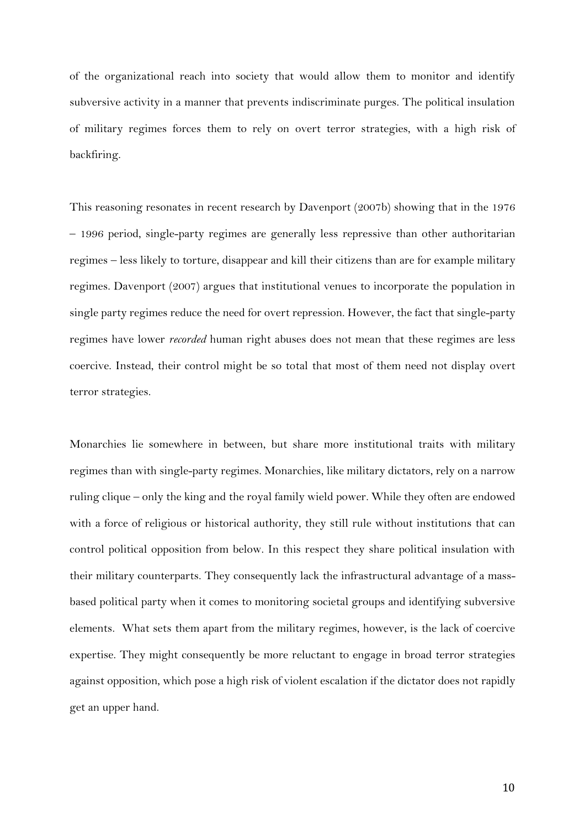of the organizational reach into society that would allow them to monitor and identify subversive activity in a manner that prevents indiscriminate purges. The political insulation of military regimes forces them to rely on overt terror strategies, with a high risk of backfiring.

This reasoning resonates in recent research by Davenport (2007b) showing that in the 1976 – 1996 period, single-party regimes are generally less repressive than other authoritarian regimes – less likely to torture, disappear and kill their citizens than are for example military regimes. Davenport (2007) argues that institutional venues to incorporate the population in single party regimes reduce the need for overt repression. However, the fact that single-party regimes have lower *recorded* human right abuses does not mean that these regimes are less coercive. Instead, their control might be so total that most of them need not display overt terror strategies.

Monarchies lie somewhere in between, but share more institutional traits with military regimes than with single-party regimes. Monarchies, like military dictators, rely on a narrow ruling clique – only the king and the royal family wield power. While they often are endowed with a force of religious or historical authority, they still rule without institutions that can control political opposition from below. In this respect they share political insulation with their military counterparts. They consequently lack the infrastructural advantage of a massbased political party when it comes to monitoring societal groups and identifying subversive elements. What sets them apart from the military regimes, however, is the lack of coercive expertise. They might consequently be more reluctant to engage in broad terror strategies against opposition, which pose a high risk of violent escalation if the dictator does not rapidly get an upper hand.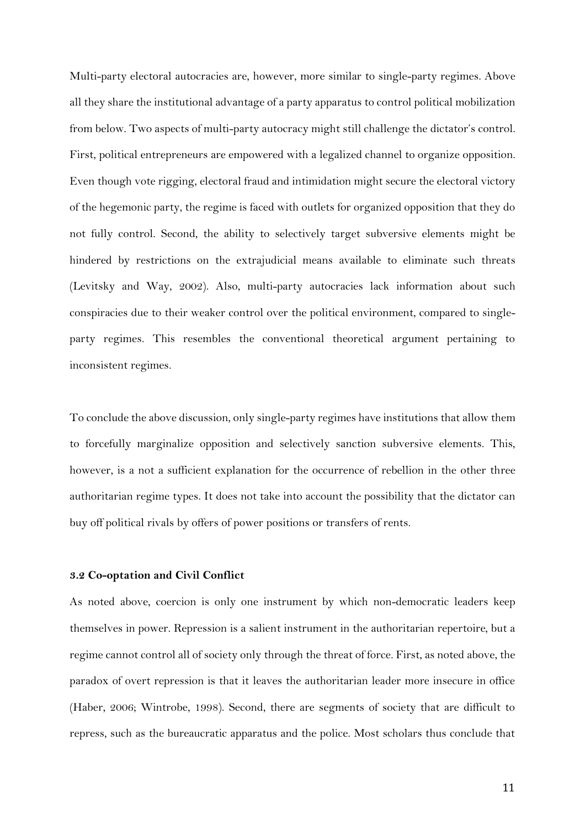Multi-party electoral autocracies are, however, more similar to single-party regimes. Above all they share the institutional advantage of a party apparatus to control political mobilization from below. Two aspects of multi-party autocracy might still challenge the dictator's control. First, political entrepreneurs are empowered with a legalized channel to organize opposition. Even though vote rigging, electoral fraud and intimidation might secure the electoral victory of the hegemonic party, the regime is faced with outlets for organized opposition that they do not fully control. Second, the ability to selectively target subversive elements might be hindered by restrictions on the extrajudicial means available to eliminate such threats (Levitsky and Way, 2002). Also, multi-party autocracies lack information about such conspiracies due to their weaker control over the political environment, compared to singleparty regimes. This resembles the conventional theoretical argument pertaining to inconsistent regimes.

To conclude the above discussion, only single-party regimes have institutions that allow them to forcefully marginalize opposition and selectively sanction subversive elements. This, however, is a not a sufficient explanation for the occurrence of rebellion in the other three authoritarian regime types. It does not take into account the possibility that the dictator can buy off political rivals by offers of power positions or transfers of rents.

### **3.2 Co-optation and Civil Conflict**

As noted above, coercion is only one instrument by which non-democratic leaders keep themselves in power. Repression is a salient instrument in the authoritarian repertoire, but a regime cannot control all of society only through the threat of force. First, as noted above, the paradox of overt repression is that it leaves the authoritarian leader more insecure in office (Haber, 2006; Wintrobe, 1998). Second, there are segments of society that are difficult to repress, such as the bureaucratic apparatus and the police. Most scholars thus conclude that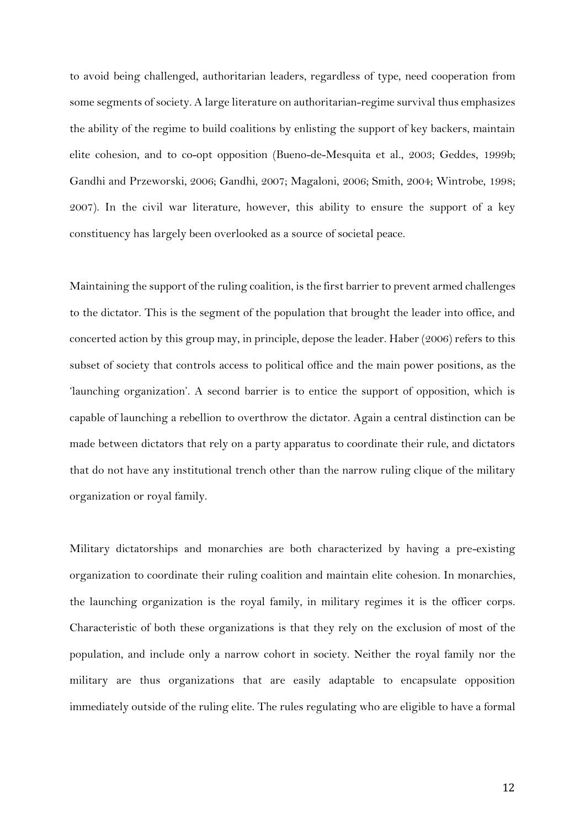to avoid being challenged, authoritarian leaders, regardless of type, need cooperation from some segments of society. A large literature on authoritarian-regime survival thus emphasizes the ability of the regime to build coalitions by enlisting the support of key backers, maintain elite cohesion, and to co-opt opposition (Bueno-de-Mesquita et al., 2003; Geddes, 1999b; Gandhi and Przeworski, 2006; Gandhi, 2007; Magaloni, 2006; Smith, 2004; Wintrobe, 1998; 2007). In the civil war literature, however, this ability to ensure the support of a key constituency has largely been overlooked as a source of societal peace.

Maintaining the support of the ruling coalition, is the first barrier to prevent armed challenges to the dictator. This is the segment of the population that brought the leader into office, and concerted action by this group may, in principle, depose the leader. Haber (2006) refers to this subset of society that controls access to political office and the main power positions, as the 'launching organization'. A second barrier is to entice the support of opposition, which is capable of launching a rebellion to overthrow the dictator. Again a central distinction can be made between dictators that rely on a party apparatus to coordinate their rule, and dictators that do not have any institutional trench other than the narrow ruling clique of the military organization or royal family.

Military dictatorships and monarchies are both characterized by having a pre-existing organization to coordinate their ruling coalition and maintain elite cohesion. In monarchies, the launching organization is the royal family, in military regimes it is the officer corps. Characteristic of both these organizations is that they rely on the exclusion of most of the population, and include only a narrow cohort in society. Neither the royal family nor the military are thus organizations that are easily adaptable to encapsulate opposition immediately outside of the ruling elite. The rules regulating who are eligible to have a formal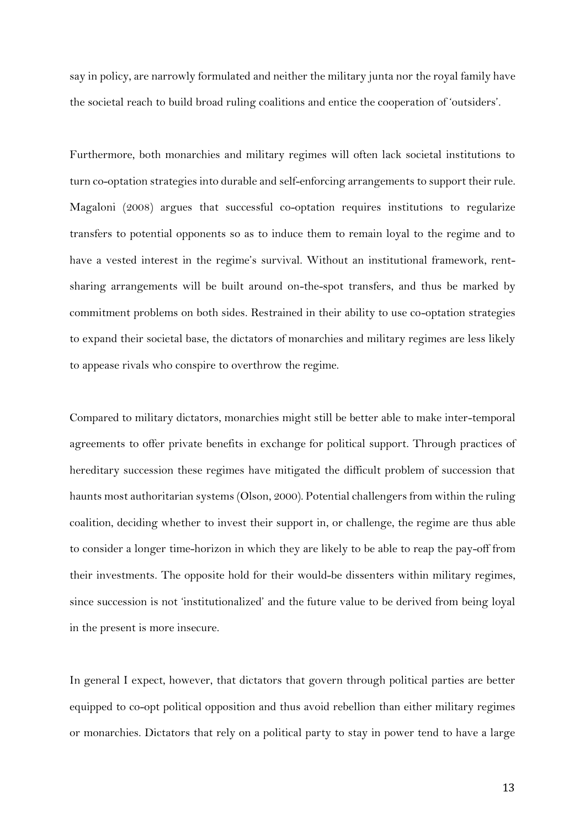say in policy, are narrowly formulated and neither the military junta nor the royal family have the societal reach to build broad ruling coalitions and entice the cooperation of 'outsiders'.

Furthermore, both monarchies and military regimes will often lack societal institutions to turn co-optation strategies into durable and self-enforcing arrangements to support their rule. Magaloni (2008) argues that successful co-optation requires institutions to regularize transfers to potential opponents so as to induce them to remain loyal to the regime and to have a vested interest in the regime's survival. Without an institutional framework, rentsharing arrangements will be built around on-the-spot transfers, and thus be marked by commitment problems on both sides. Restrained in their ability to use co-optation strategies to expand their societal base, the dictators of monarchies and military regimes are less likely to appease rivals who conspire to overthrow the regime.

Compared to military dictators, monarchies might still be better able to make inter-temporal agreements to offer private benefits in exchange for political support. Through practices of hereditary succession these regimes have mitigated the difficult problem of succession that haunts most authoritarian systems (Olson, 2000). Potential challengers from within the ruling coalition, deciding whether to invest their support in, or challenge, the regime are thus able to consider a longer time-horizon in which they are likely to be able to reap the pay-off from their investments. The opposite hold for their would-be dissenters within military regimes, since succession is not 'institutionalized' and the future value to be derived from being loyal in the present is more insecure.

In general I expect, however, that dictators that govern through political parties are better equipped to co-opt political opposition and thus avoid rebellion than either military regimes or monarchies. Dictators that rely on a political party to stay in power tend to have a large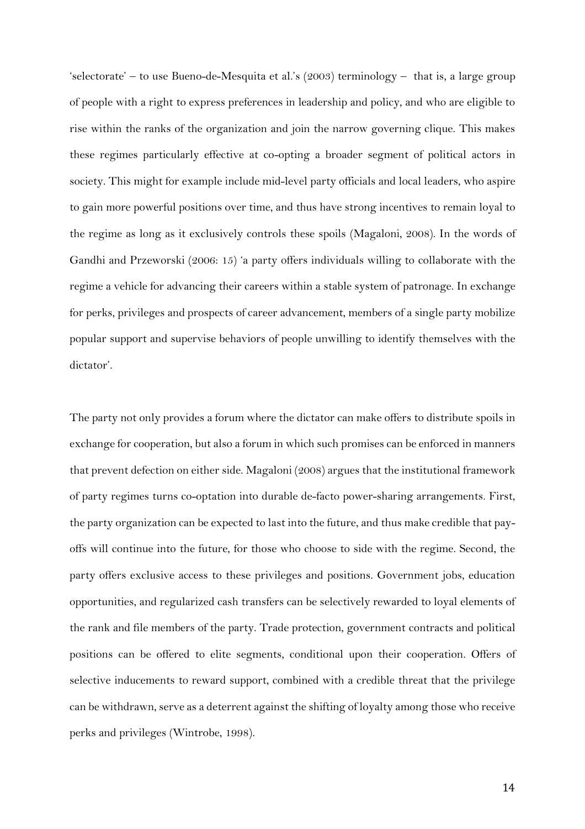'selectorate' – to use Bueno-de-Mesquita et al.'s (2003) terminology – that is, a large group of people with a right to express preferences in leadership and policy, and who are eligible to rise within the ranks of the organization and join the narrow governing clique. This makes these regimes particularly effective at co-opting a broader segment of political actors in society. This might for example include mid-level party officials and local leaders, who aspire to gain more powerful positions over time, and thus have strong incentives to remain loyal to the regime as long as it exclusively controls these spoils (Magaloni, 2008). In the words of Gandhi and Przeworski (2006: 15) 'a party offers individuals willing to collaborate with the regime a vehicle for advancing their careers within a stable system of patronage. In exchange for perks, privileges and prospects of career advancement, members of a single party mobilize popular support and supervise behaviors of people unwilling to identify themselves with the dictator'.

The party not only provides a forum where the dictator can make offers to distribute spoils in exchange for cooperation, but also a forum in which such promises can be enforced in manners that prevent defection on either side. Magaloni (2008) argues that the institutional framework of party regimes turns co-optation into durable de-facto power-sharing arrangements. First, the party organization can be expected to last into the future, and thus make credible that payoffs will continue into the future, for those who choose to side with the regime. Second, the party offers exclusive access to these privileges and positions. Government jobs, education opportunities, and regularized cash transfers can be selectively rewarded to loyal elements of the rank and file members of the party. Trade protection, government contracts and political positions can be offered to elite segments, conditional upon their cooperation. Offers of selective inducements to reward support, combined with a credible threat that the privilege can be withdrawn, serve as a deterrent against the shifting of loyalty among those who receive perks and privileges (Wintrobe, 1998).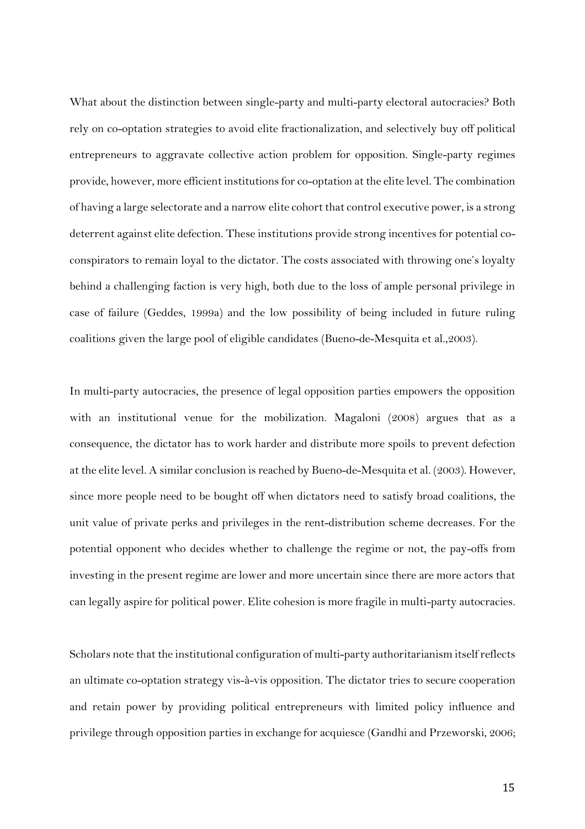What about the distinction between single-party and multi-party electoral autocracies? Both rely on co-optation strategies to avoid elite fractionalization, and selectively buy off political entrepreneurs to aggravate collective action problem for opposition. Single-party regimes provide, however, more efficient institutions for co-optation at the elite level. The combination of having a large selectorate and a narrow elite cohort that control executive power, is a strong deterrent against elite defection. These institutions provide strong incentives for potential coconspirators to remain loyal to the dictator. The costs associated with throwing one's loyalty behind a challenging faction is very high, both due to the loss of ample personal privilege in case of failure (Geddes, 1999a) and the low possibility of being included in future ruling coalitions given the large pool of eligible candidates (Bueno-de-Mesquita et al.,2003).

In multi-party autocracies, the presence of legal opposition parties empowers the opposition with an institutional venue for the mobilization. Magaloni (2008) argues that as a consequence, the dictator has to work harder and distribute more spoils to prevent defection at the elite level. A similar conclusion is reached by Bueno-de-Mesquita et al. (2003). However, since more people need to be bought off when dictators need to satisfy broad coalitions, the unit value of private perks and privileges in the rent-distribution scheme decreases. For the potential opponent who decides whether to challenge the regime or not, the pay-offs from investing in the present regime are lower and more uncertain since there are more actors that can legally aspire for political power. Elite cohesion is more fragile in multi-party autocracies.

Scholars note that the institutional configuration of multi-party authoritarianism itself reflects an ultimate co-optation strategy vis-à-vis opposition. The dictator tries to secure cooperation and retain power by providing political entrepreneurs with limited policy influence and privilege through opposition parties in exchange for acquiesce (Gandhi and Przeworski, 2006;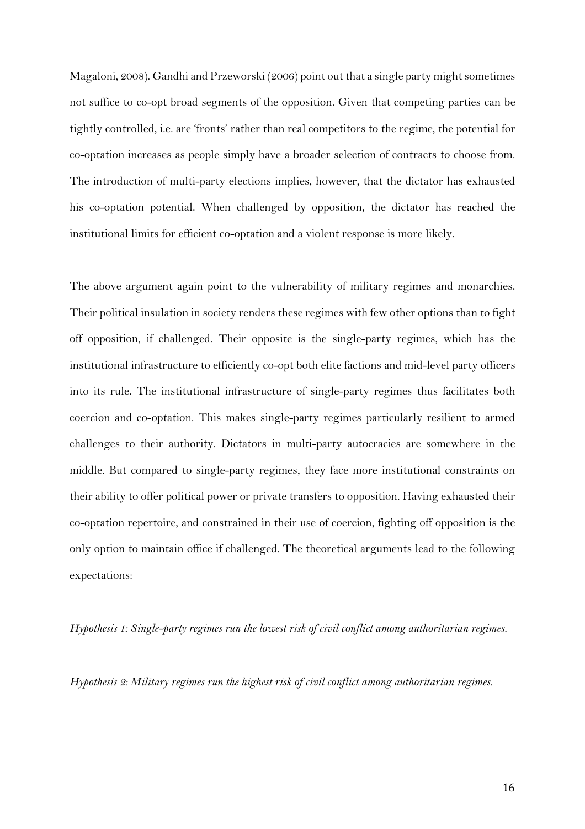Magaloni, 2008). Gandhi and Przeworski (2006) point out that a single party might sometimes not suffice to co-opt broad segments of the opposition. Given that competing parties can be tightly controlled, i.e. are 'fronts' rather than real competitors to the regime, the potential for co-optation increases as people simply have a broader selection of contracts to choose from. The introduction of multi-party elections implies, however, that the dictator has exhausted his co-optation potential. When challenged by opposition, the dictator has reached the institutional limits for efficient co-optation and a violent response is more likely.

The above argument again point to the vulnerability of military regimes and monarchies. Their political insulation in society renders these regimes with few other options than to fight off opposition, if challenged. Their opposite is the single-party regimes, which has the institutional infrastructure to efficiently co-opt both elite factions and mid-level party officers into its rule. The institutional infrastructure of single-party regimes thus facilitates both coercion and co-optation. This makes single-party regimes particularly resilient to armed challenges to their authority. Dictators in multi-party autocracies are somewhere in the middle. But compared to single-party regimes, they face more institutional constraints on their ability to offer political power or private transfers to opposition. Having exhausted their co-optation repertoire, and constrained in their use of coercion, fighting off opposition is the only option to maintain office if challenged. The theoretical arguments lead to the following expectations:

*Hypothesis 1: Single-party regimes run the lowest risk of civil conflict among authoritarian regimes.*

*Hypothesis 2: Military regimes run the highest risk of civil conflict among authoritarian regimes.*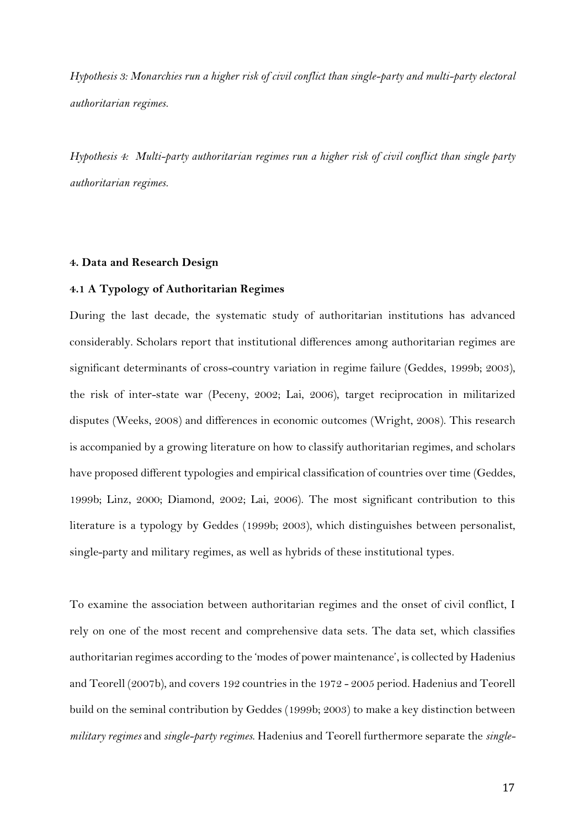*Hypothesis 3: Monarchies run a higher risk of civil conflict than single-party and multi-party electoral authoritarian regimes.*

*Hypothesis 4: Multi-party authoritarian regimes run a higher risk of civil conflict than single party authoritarian regimes.*

#### **4. Data and Research Design**

## **4.1 A Typology of Authoritarian Regimes**

During the last decade, the systematic study of authoritarian institutions has advanced considerably. Scholars report that institutional differences among authoritarian regimes are significant determinants of cross-country variation in regime failure (Geddes, 1999b; 2003), the risk of inter-state war (Peceny, 2002; Lai, 2006), target reciprocation in militarized disputes (Weeks, 2008) and differences in economic outcomes (Wright, 2008). This research is accompanied by a growing literature on how to classify authoritarian regimes, and scholars have proposed different typologies and empirical classification of countries over time (Geddes, 1999b; Linz, 2000; Diamond, 2002; Lai, 2006). The most significant contribution to this literature is a typology by Geddes (1999b; 2003), which distinguishes between personalist, single-party and military regimes, as well as hybrids of these institutional types.

To examine the association between authoritarian regimes and the onset of civil conflict, I rely on one of the most recent and comprehensive data sets. The data set, which classifies authoritarian regimes according to the 'modes of power maintenance', is collected by Hadenius and Teorell (2007b), and covers 192 countries in the 1972 - 2005 period. Hadenius and Teorell build on the seminal contribution by Geddes (1999b; 2003) to make a key distinction between *military regimes* and *single-party regimes*. Hadenius and Teorell furthermore separate the *single-*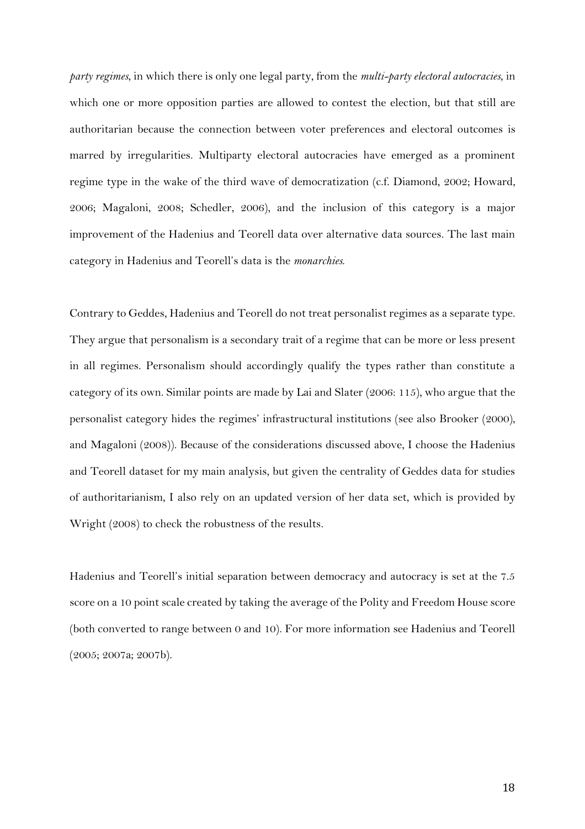*party regimes*, in which there is only one legal party, from the *multi-party electoral autocracies*, in which one or more opposition parties are allowed to contest the election, but that still are authoritarian because the connection between voter preferences and electoral outcomes is marred by irregularities. Multiparty electoral autocracies have emerged as a prominent regime type in the wake of the third wave of democratization (c.f. Diamond, 2002; Howard, 2006; Magaloni, 2008; Schedler, 2006), and the inclusion of this category is a major improvement of the Hadenius and Teorell data over alternative data sources. The last main category in Hadenius and Teorell's data is the *monarchies*.

Contrary to Geddes, Hadenius and Teorell do not treat personalist regimes as a separate type. They argue that personalism is a secondary trait of a regime that can be more or less present in all regimes. Personalism should accordingly qualify the types rather than constitute a category of its own. Similar points are made by Lai and Slater (2006: 115), who argue that the personalist category hides the regimes' infrastructural institutions (see also Brooker (2000), and Magaloni (2008)). Because of the considerations discussed above, I choose the Hadenius and Teorell dataset for my main analysis, but given the centrality of Geddes data for studies of authoritarianism, I also rely on an updated version of her data set, which is provided by Wright (2008) to check the robustness of the results.

Hadenius and Teorell's initial separation between democracy and autocracy is set at the 7.5 score on a 10 point scale created by taking the average of the Polity and Freedom House score (both converted to range between 0 and 10). For more information see Hadenius and Teorell (2005; 2007a; 2007b).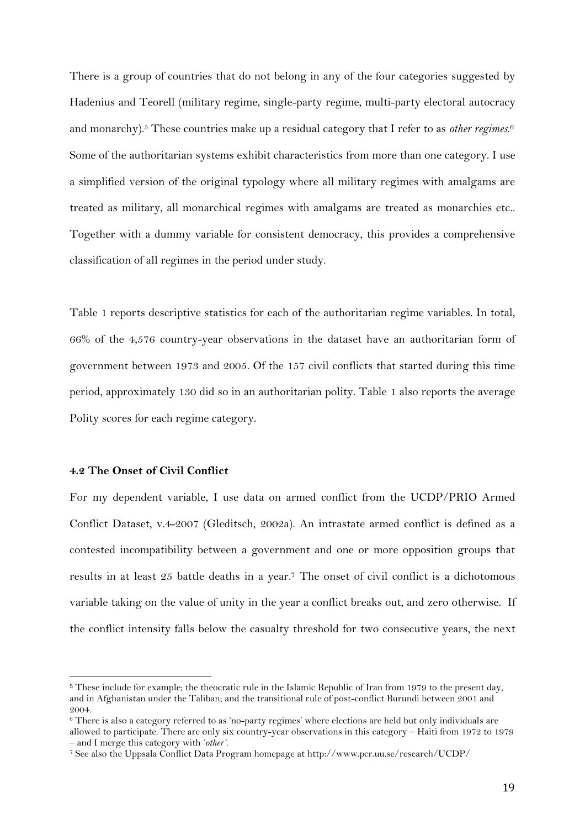There is a group of countries that do not belong in any of the four categories suggested by Hadenius and Teorell (military regime, single-party regime, multi-party electoral autocracy and monarchy).<sup>5</sup> These countries make up a residual category that I refer to as *other regimes*. 6 Some of the authoritarian systems exhibit characteristics from more than one category. I use a simplified version of the original typology where all military regimes with amalgams are treated as military, all monarchical regimes with amalgams are treated as monarchies etc.. Together with a dummy variable for consistent democracy, this provides a comprehensive classification of all regimes in the period under study.

Table 1 reports descriptive statistics for each of the authoritarian regime variables. In total, 66% of the 4,576 country-year observations in the dataset have an authoritarian form of government between 1973 and 2005. Of the 157 civil conflicts that started during this time period, approximately 130 did so in an authoritarian polity. Table 1 also reports the average Polity scores for each regime category.

# **4.2 The Onset of Civil Conflict**

 $\overline{a}$ 

For my dependent variable, I use data on armed conflict from the UCDP/PRIO Armed Conflict Dataset, v.4-2007 (Gleditsch, 2002a). An intrastate armed conflict is defined as a contested incompatibility between a government and one or more opposition groups that results in at least 25 battle deaths in a year.<sup>7</sup> The onset of civil conflict is a dichotomous variable taking on the value of unity in the year a conflict breaks out, and zero otherwise. If the conflict intensity falls below the casualty threshold for two consecutive years, the next

<sup>5</sup> These include for example; the theocratic rule in the Islamic Republic of Iran from 1979 to the present day, and in Afghanistan under the Taliban; and the transitional rule of post-conflict Burundi between 2001 and 2004.

<sup>6</sup> There is also a category referred to as 'no-party regimes' where elections are held but only individuals are allowed to participate. There are only six country-year observations in this category – Haiti from 1972 to 1979 – and I merge this category with '*other'*.

<sup>7</sup> See also the Uppsala Conflict Data Program homepage at http://www.pcr.uu.se/research/UCDP/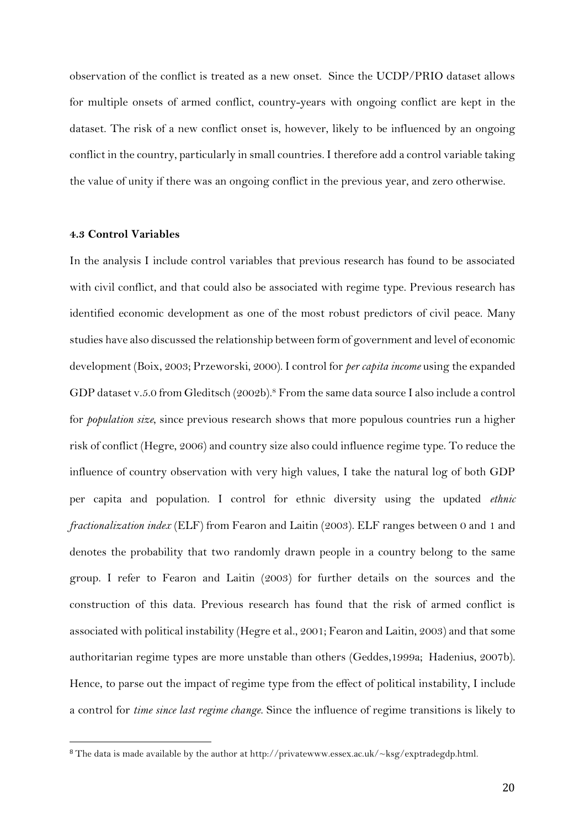observation of the conflict is treated as a new onset. Since the UCDP/PRIO dataset allows for multiple onsets of armed conflict, country-years with ongoing conflict are kept in the dataset. The risk of a new conflict onset is, however, likely to be influenced by an ongoing conflict in the country, particularly in small countries. I therefore add a control variable taking the value of unity if there was an ongoing conflict in the previous year, and zero otherwise.

#### **4.3 Control Variables**

 $\overline{a}$ 

In the analysis I include control variables that previous research has found to be associated with civil conflict, and that could also be associated with regime type. Previous research has identified economic development as one of the most robust predictors of civil peace. Many studies have also discussed the relationship between form of government and level of economic development (Boix, 2003; Przeworski, 2000). I control for *per capita income* using the expanded GDP dataset v.5.0 from Gleditsch (2002b). <sup>8</sup> From the same data source I also include a control for *population size*, since previous research shows that more populous countries run a higher risk of conflict (Hegre, 2006) and country size also could influence regime type. To reduce the influence of country observation with very high values, I take the natural log of both GDP per capita and population. I control for ethnic diversity using the updated *ethnic fractionalization index* (ELF) from Fearon and Laitin (2003). ELF ranges between 0 and 1 and denotes the probability that two randomly drawn people in a country belong to the same group. I refer to Fearon and Laitin (2003) for further details on the sources and the construction of this data. Previous research has found that the risk of armed conflict is associated with political instability (Hegre et al., 2001; Fearon and Laitin, 2003) and that some authoritarian regime types are more unstable than others (Geddes,1999a; Hadenius, 2007b). Hence, to parse out the impact of regime type from the effect of political instability, I include a control for *time since last regime change*. Since the influence of regime transitions is likely to

<sup>8</sup> The data is made available by the author at http://privatewww.essex.ac.uk/~ksg/exptradegdp.html.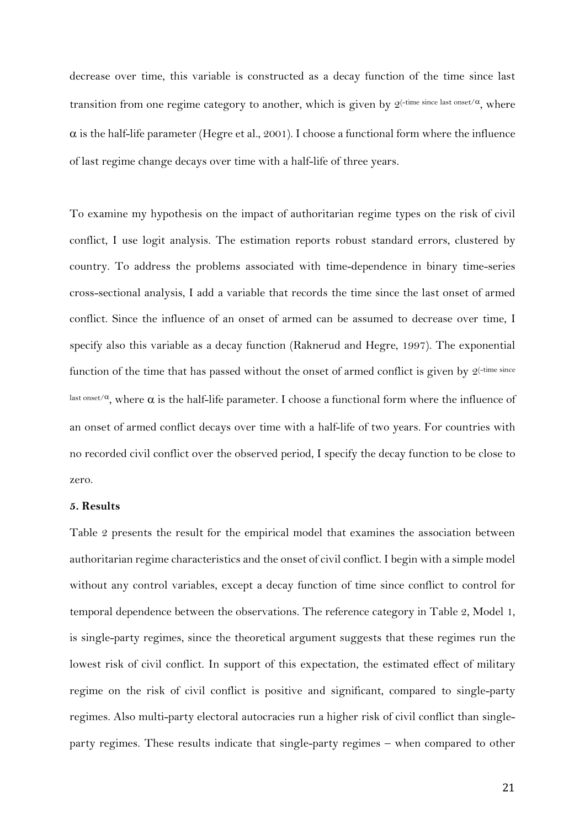decrease over time, this variable is constructed as a decay function of the time since last transition from one regime category to another, which is given by  $2^{(-time\ since\ last\ onset/\alpha},$  where  $\alpha$  is the half-life parameter (Hegre et al., 2001). I choose a functional form where the influence of last regime change decays over time with a half-life of three years.

To examine my hypothesis on the impact of authoritarian regime types on the risk of civil conflict, I use logit analysis. The estimation reports robust standard errors, clustered by country. To address the problems associated with time-dependence in binary time-series cross-sectional analysis, I add a variable that records the time since the last onset of armed conflict. Since the influence of an onset of armed can be assumed to decrease over time, I specify also this variable as a decay function (Raknerud and Hegre, 1997). The exponential function of the time that has passed without the onset of armed conflict is given by  $2$ <sup>-time since</sup> last onset/ $\alpha$ , where  $\alpha$  is the half-life parameter. I choose a functional form where the influence of an onset of armed conflict decays over time with a half-life of two years. For countries with no recorded civil conflict over the observed period, I specify the decay function to be close to zero.

#### **5. Results**

Table 2 presents the result for the empirical model that examines the association between authoritarian regime characteristics and the onset of civil conflict. I begin with a simple model without any control variables, except a decay function of time since conflict to control for temporal dependence between the observations. The reference category in Table 2, Model 1, is single-party regimes, since the theoretical argument suggests that these regimes run the lowest risk of civil conflict. In support of this expectation, the estimated effect of military regime on the risk of civil conflict is positive and significant, compared to single-party regimes. Also multi-party electoral autocracies run a higher risk of civil conflict than singleparty regimes. These results indicate that single-party regimes – when compared to other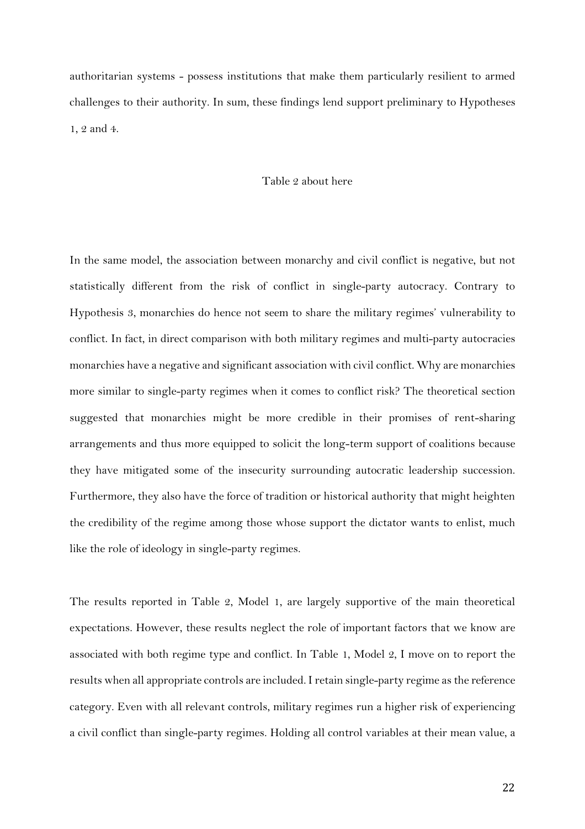authoritarian systems - possess institutions that make them particularly resilient to armed challenges to their authority. In sum, these findings lend support preliminary to Hypotheses 1, 2 and 4.

# Table 2 about here

In the same model, the association between monarchy and civil conflict is negative, but not statistically different from the risk of conflict in single-party autocracy. Contrary to Hypothesis 3, monarchies do hence not seem to share the military regimes' vulnerability to conflict. In fact, in direct comparison with both military regimes and multi-party autocracies monarchies have a negative and significant association with civil conflict. Why are monarchies more similar to single-party regimes when it comes to conflict risk? The theoretical section suggested that monarchies might be more credible in their promises of rent-sharing arrangements and thus more equipped to solicit the long-term support of coalitions because they have mitigated some of the insecurity surrounding autocratic leadership succession. Furthermore, they also have the force of tradition or historical authority that might heighten the credibility of the regime among those whose support the dictator wants to enlist, much like the role of ideology in single-party regimes.

The results reported in Table 2, Model 1, are largely supportive of the main theoretical expectations. However, these results neglect the role of important factors that we know are associated with both regime type and conflict. In Table 1, Model 2, I move on to report the results when all appropriate controls are included. I retain single-party regime as the reference category. Even with all relevant controls, military regimes run a higher risk of experiencing a civil conflict than single-party regimes. Holding all control variables at their mean value, a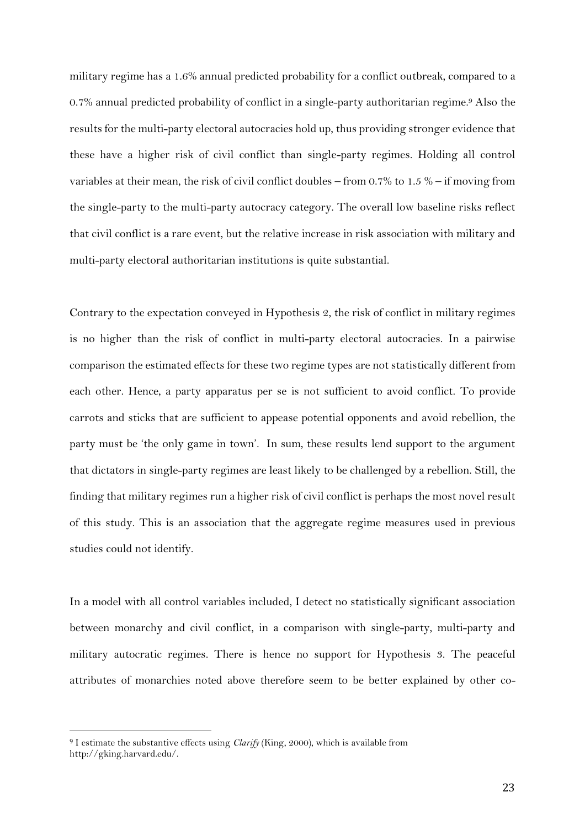military regime has a 1.6% annual predicted probability for a conflict outbreak, compared to a 0.7% annual predicted probability of conflict in a single-party authoritarian regime. <sup>9</sup> Also the results for the multi-party electoral autocracies hold up, thus providing stronger evidence that these have a higher risk of civil conflict than single-party regimes. Holding all control variables at their mean, the risk of civil conflict doubles – from 0.7% to 1.5 % – if moving from the single-party to the multi-party autocracy category. The overall low baseline risks reflect that civil conflict is a rare event, but the relative increase in risk association with military and multi-party electoral authoritarian institutions is quite substantial.

Contrary to the expectation conveyed in Hypothesis 2, the risk of conflict in military regimes is no higher than the risk of conflict in multi-party electoral autocracies. In a pairwise comparison the estimated effects for these two regime types are not statistically different from each other. Hence, a party apparatus per se is not sufficient to avoid conflict. To provide carrots and sticks that are sufficient to appease potential opponents and avoid rebellion, the party must be 'the only game in town'. In sum, these results lend support to the argument that dictators in single-party regimes are least likely to be challenged by a rebellion. Still, the finding that military regimes run a higher risk of civil conflict is perhaps the most novel result of this study. This is an association that the aggregate regime measures used in previous studies could not identify.

In a model with all control variables included, I detect no statistically significant association between monarchy and civil conflict, in a comparison with single-party, multi-party and military autocratic regimes. There is hence no support for Hypothesis 3. The peaceful attributes of monarchies noted above therefore seem to be better explained by other co-

<sup>9</sup> I estimate the substantive effects using *Clarify* (King, 2000), which is available from http://gking.harvard.edu/.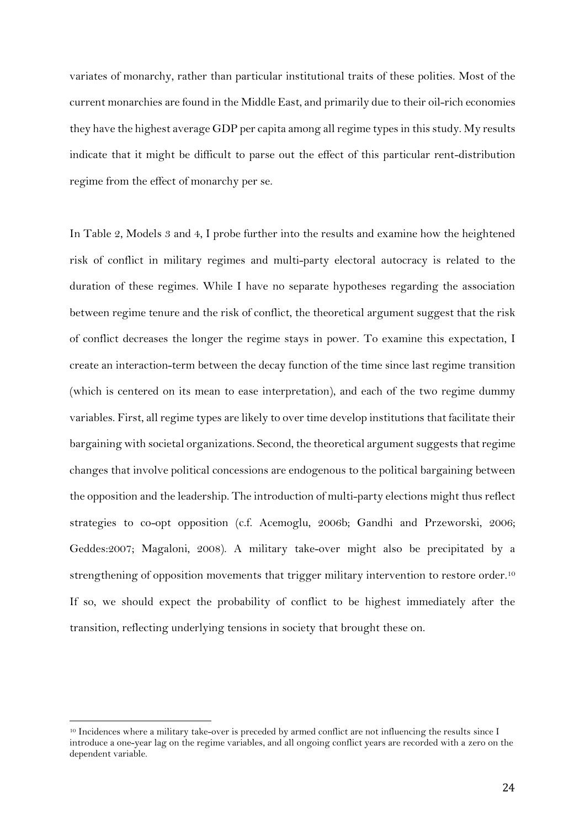variates of monarchy, rather than particular institutional traits of these polities. Most of the current monarchies are found in the Middle East, and primarily due to their oil-rich economies they have the highest average GDP per capita among all regime types in this study. My results indicate that it might be difficult to parse out the effect of this particular rent-distribution regime from the effect of monarchy per se.

In Table 2, Models 3 and 4, I probe further into the results and examine how the heightened risk of conflict in military regimes and multi-party electoral autocracy is related to the duration of these regimes. While I have no separate hypotheses regarding the association between regime tenure and the risk of conflict, the theoretical argument suggest that the risk of conflict decreases the longer the regime stays in power. To examine this expectation, I create an interaction-term between the decay function of the time since last regime transition (which is centered on its mean to ease interpretation), and each of the two regime dummy variables. First, all regime types are likely to over time develop institutions that facilitate their bargaining with societal organizations. Second, the theoretical argument suggests that regime changes that involve political concessions are endogenous to the political bargaining between the opposition and the leadership. The introduction of multi-party elections might thus reflect strategies to co-opt opposition (c.f. Acemoglu, 2006b; Gandhi and Przeworski, 2006; Geddes:2007; Magaloni, 2008). A military take-over might also be precipitated by a strengthening of opposition movements that trigger military intervention to restore order.<sup>10</sup> If so, we should expect the probability of conflict to be highest immediately after the transition, reflecting underlying tensions in society that brought these on.

 $\overline{a}$ <sup>10</sup> Incidences where a military take-over is preceded by armed conflict are not influencing the results since I introduce a one-year lag on the regime variables, and all ongoing conflict years are recorded with a zero on the dependent variable.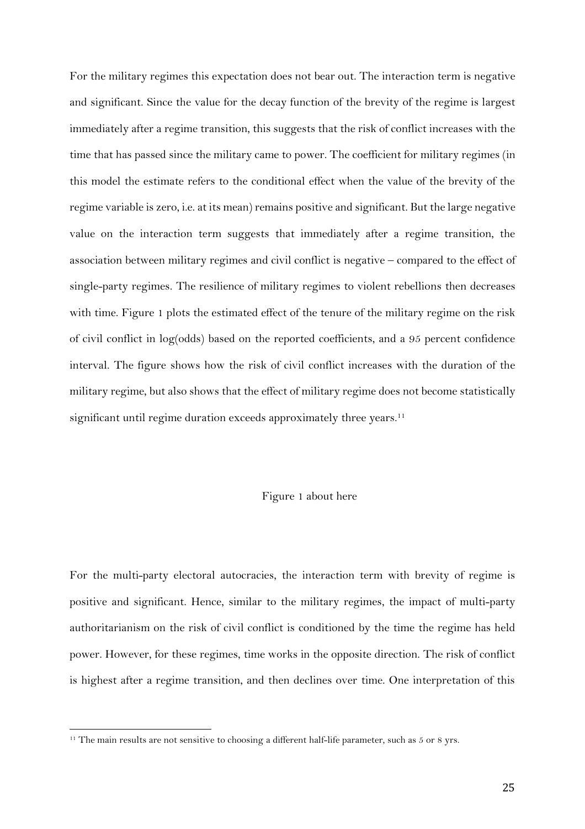For the military regimes this expectation does not bear out. The interaction term is negative and significant. Since the value for the decay function of the brevity of the regime is largest immediately after a regime transition, this suggests that the risk of conflict increases with the time that has passed since the military came to power. The coefficient for military regimes (in this model the estimate refers to the conditional effect when the value of the brevity of the regime variable is zero, i.e. at its mean) remains positive and significant. But the large negative value on the interaction term suggests that immediately after a regime transition, the association between military regimes and civil conflict is negative – compared to the effect of single-party regimes. The resilience of military regimes to violent rebellions then decreases with time. Figure 1 plots the estimated effect of the tenure of the military regime on the risk of civil conflict in log(odds) based on the reported coefficients, and a 95 percent confidence interval. The figure shows how the risk of civil conflict increases with the duration of the military regime, but also shows that the effect of military regime does not become statistically significant until regime duration exceeds approximately three years.<sup>11</sup>

#### Figure 1 about here

For the multi-party electoral autocracies, the interaction term with brevity of regime is positive and significant. Hence, similar to the military regimes, the impact of multi-party authoritarianism on the risk of civil conflict is conditioned by the time the regime has held power. However, for these regimes, time works in the opposite direction. The risk of conflict is highest after a regime transition, and then declines over time. One interpretation of this

<sup>&</sup>lt;sup>11</sup> The main results are not sensitive to choosing a different half-life parameter, such as  $5$  or 8 yrs.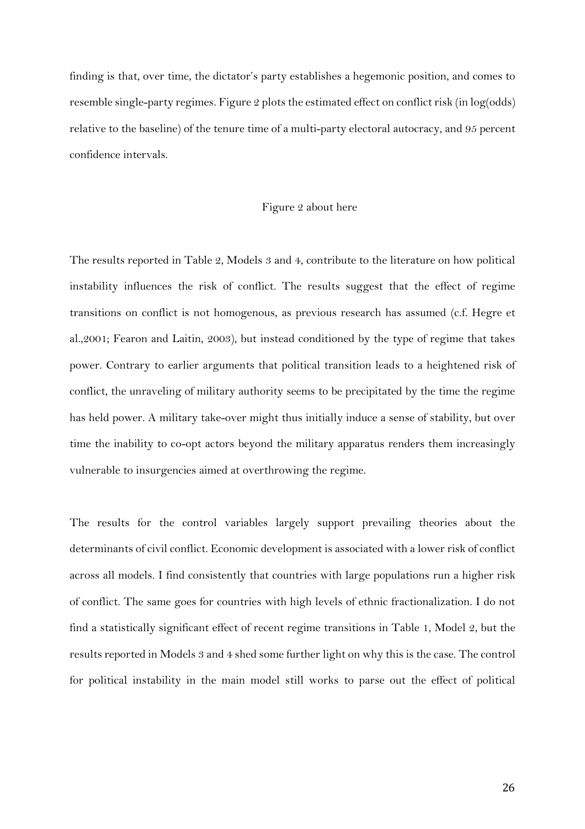finding is that, over time, the dictator's party establishes a hegemonic position, and comes to resemble single-party regimes. Figure 2 plots the estimated effect on conflict risk (in log(odds) relative to the baseline) of the tenure time of a multi-party electoral autocracy, and 95 percent confidence intervals.

#### Figure 2 about here

The results reported in Table 2, Models 3 and 4, contribute to the literature on how political instability influences the risk of conflict. The results suggest that the effect of regime transitions on conflict is not homogenous, as previous research has assumed (c.f. Hegre et al.,2001; Fearon and Laitin, 2003), but instead conditioned by the type of regime that takes power. Contrary to earlier arguments that political transition leads to a heightened risk of conflict, the unraveling of military authority seems to be precipitated by the time the regime has held power. A military take-over might thus initially induce a sense of stability, but over time the inability to co-opt actors beyond the military apparatus renders them increasingly vulnerable to insurgencies aimed at overthrowing the regime.

The results for the control variables largely support prevailing theories about the determinants of civil conflict. Economic development is associated with a lower risk of conflict across all models. I find consistently that countries with large populations run a higher risk of conflict. The same goes for countries with high levels of ethnic fractionalization. I do not find a statistically significant effect of recent regime transitions in Table 1, Model 2, but the results reported in Models 3 and 4 shed some further light on why this is the case. The control for political instability in the main model still works to parse out the effect of political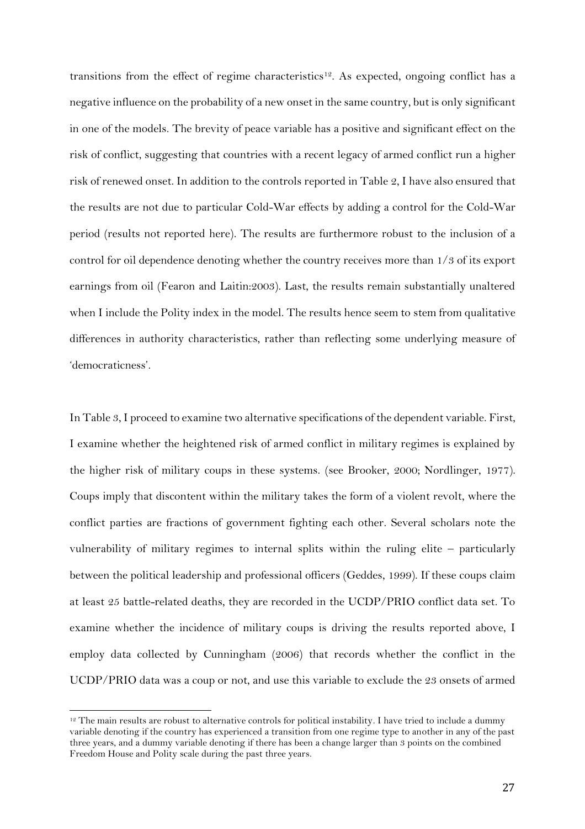transitions from the effect of regime characteristics<sup>12</sup>. As expected, ongoing conflict has a negative influence on the probability of a new onset in the same country, but is only significant in one of the models. The brevity of peace variable has a positive and significant effect on the risk of conflict, suggesting that countries with a recent legacy of armed conflict run a higher risk of renewed onset. In addition to the controls reported in Table 2, I have also ensured that the results are not due to particular Cold-War effects by adding a control for the Cold-War period (results not reported here). The results are furthermore robust to the inclusion of a control for oil dependence denoting whether the country receives more than 1/3 of its export earnings from oil (Fearon and Laitin:2003). Last, the results remain substantially unaltered when I include the Polity index in the model. The results hence seem to stem from qualitative differences in authority characteristics, rather than reflecting some underlying measure of 'democraticness'.

In Table 3, I proceed to examine two alternative specifications of the dependent variable. First, I examine whether the heightened risk of armed conflict in military regimes is explained by the higher risk of military coups in these systems. (see Brooker, 2000; Nordlinger, 1977). Coups imply that discontent within the military takes the form of a violent revolt, where the conflict parties are fractions of government fighting each other. Several scholars note the vulnerability of military regimes to internal splits within the ruling elite – particularly between the political leadership and professional officers (Geddes, 1999). If these coups claim at least 25 battle-related deaths, they are recorded in the UCDP/PRIO conflict data set. To examine whether the incidence of military coups is driving the results reported above, I employ data collected by Cunningham (2006) that records whether the conflict in the UCDP/PRIO data was a coup or not, and use this variable to exclude the 23 onsets of armed

 $12$  The main results are robust to alternative controls for political instability. I have tried to include a dummy variable denoting if the country has experienced a transition from one regime type to another in any of the past three years, and a dummy variable denoting if there has been a change larger than 3 points on the combined Freedom House and Polity scale during the past three years.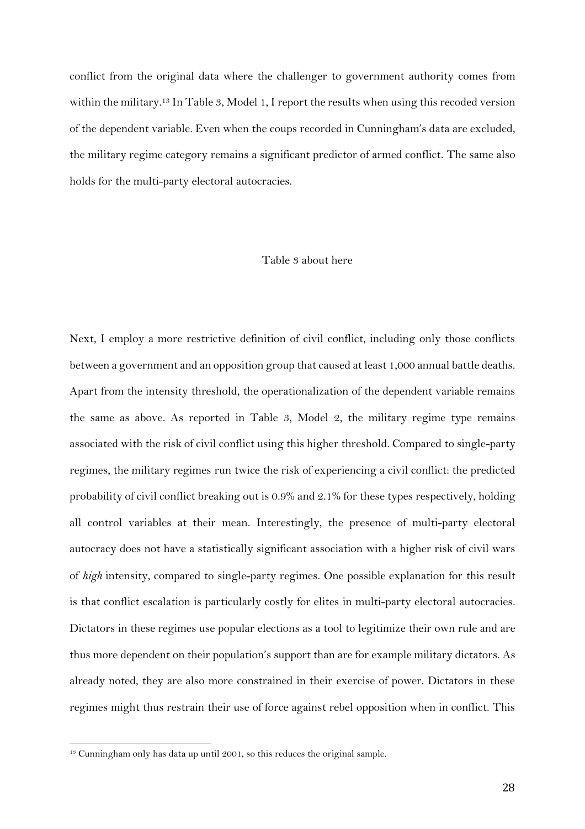conflict from the original data where the challenger to government authority comes from within the military.<sup>13</sup> In Table 3, Model 1, I report the results when using this recoded version of the dependent variable. Even when the coups recorded in Cunningham's data are excluded, the military regime category remains a significant predictor of armed conflict. The same also holds for the multi-party electoral autocracies.

#### Table 3 about here

Next, I employ a more restrictive definition of civil conflict, including only those conflicts between a government and an opposition group that caused at least 1,000 annual battle deaths. Apart from the intensity threshold, the operationalization of the dependent variable remains the same as above. As reported in Table 3, Model 2, the military regime type remains associated with the risk of civil conflict using this higher threshold. Compared to single-party regimes, the military regimes run twice the risk of experiencing a civil conflict: the predicted probability of civil conflict breaking out is 0.9% and 2.1% for these types respectively, holding all control variables at their mean. Interestingly, the presence of multi-party electoral autocracy does not have a statistically significant association with a higher risk of civil wars of *high* intensity, compared to single-party regimes. One possible explanation for this result is that conflict escalation is particularly costly for elites in multi-party electoral autocracies. Dictators in these regimes use popular elections as a tool to legitimize their own rule and are thus more dependent on their population's support than are for example military dictators. As already noted, they are also more constrained in their exercise of power. Dictators in these regimes might thus restrain their use of force against rebel opposition when in conflict. This

<sup>&</sup>lt;sup>13</sup> Cunningham only has data up until 2001, so this reduces the original sample.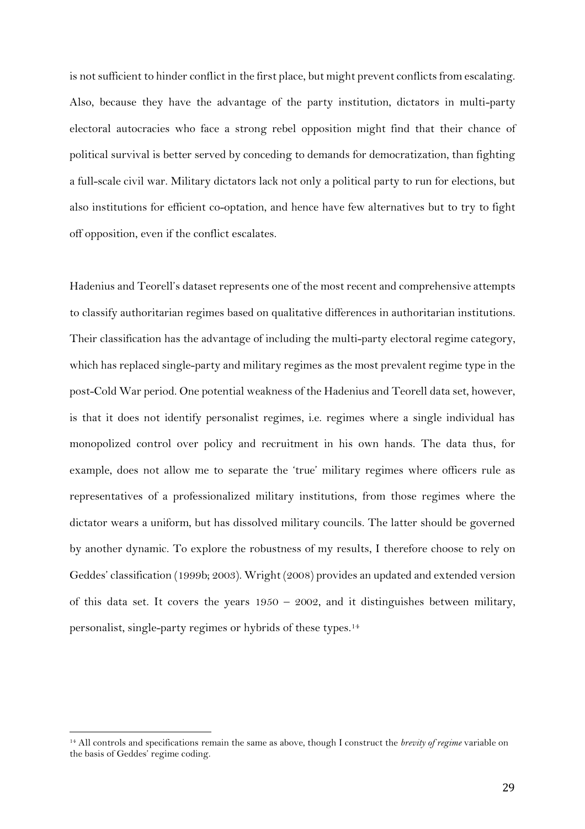is not sufficient to hinder conflict in the first place, but might prevent conflicts from escalating. Also, because they have the advantage of the party institution, dictators in multi-party electoral autocracies who face a strong rebel opposition might find that their chance of political survival is better served by conceding to demands for democratization, than fighting a full-scale civil war. Military dictators lack not only a political party to run for elections, but also institutions for efficient co-optation, and hence have few alternatives but to try to fight off opposition, even if the conflict escalates.

Hadenius and Teorell's dataset represents one of the most recent and comprehensive attempts to classify authoritarian regimes based on qualitative differences in authoritarian institutions. Their classification has the advantage of including the multi-party electoral regime category, which has replaced single-party and military regimes as the most prevalent regime type in the post-Cold War period. One potential weakness of the Hadenius and Teorell data set, however, is that it does not identify personalist regimes, i.e. regimes where a single individual has monopolized control over policy and recruitment in his own hands. The data thus, for example, does not allow me to separate the 'true' military regimes where officers rule as representatives of a professionalized military institutions, from those regimes where the dictator wears a uniform, but has dissolved military councils. The latter should be governed by another dynamic. To explore the robustness of my results, I therefore choose to rely on Geddes' classification (1999b; 2003). Wright (2008) provides an updated and extended version of this data set. It covers the years  $1950 - 2002$ , and it distinguishes between military, personalist, single-party regimes or hybrids of these types.<sup>14</sup>

<sup>14</sup> All controls and specifications remain the same as above, though I construct the *brevity of regime* variable on the basis of Geddes' regime coding.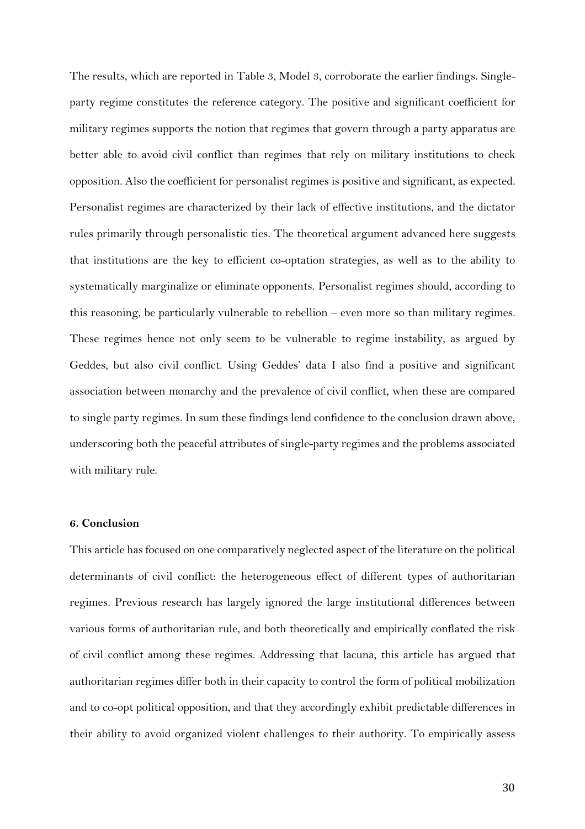The results, which are reported in Table 3, Model 3, corroborate the earlier findings. Singleparty regime constitutes the reference category. The positive and significant coefficient for military regimes supports the notion that regimes that govern through a party apparatus are better able to avoid civil conflict than regimes that rely on military institutions to check opposition. Also the coefficient for personalist regimes is positive and significant, as expected. Personalist regimes are characterized by their lack of effective institutions, and the dictator rules primarily through personalistic ties. The theoretical argument advanced here suggests that institutions are the key to efficient co-optation strategies, as well as to the ability to systematically marginalize or eliminate opponents. Personalist regimes should, according to this reasoning, be particularly vulnerable to rebellion – even more so than military regimes. These regimes hence not only seem to be vulnerable to regime instability, as argued by Geddes, but also civil conflict. Using Geddes' data I also find a positive and significant association between monarchy and the prevalence of civil conflict, when these are compared to single party regimes. In sum these findings lend confidence to the conclusion drawn above, underscoring both the peaceful attributes of single-party regimes and the problems associated with military rule.

# **6. Conclusion**

This article has focused on one comparatively neglected aspect of the literature on the political determinants of civil conflict: the heterogeneous effect of different types of authoritarian regimes. Previous research has largely ignored the large institutional differences between various forms of authoritarian rule, and both theoretically and empirically conflated the risk of civil conflict among these regimes. Addressing that lacuna, this article has argued that authoritarian regimes differ both in their capacity to control the form of political mobilization and to co-opt political opposition, and that they accordingly exhibit predictable differences in their ability to avoid organized violent challenges to their authority. To empirically assess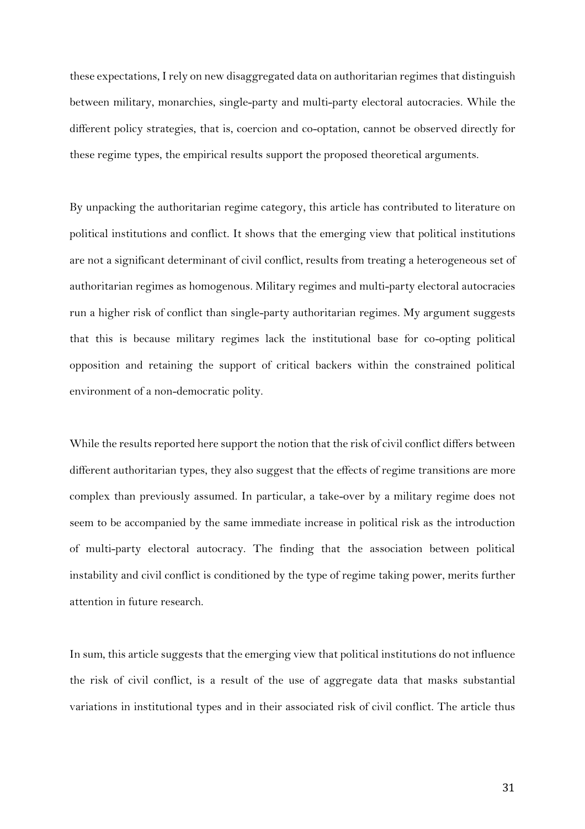these expectations, I rely on new disaggregated data on authoritarian regimes that distinguish between military, monarchies, single-party and multi-party electoral autocracies. While the different policy strategies, that is, coercion and co-optation, cannot be observed directly for these regime types, the empirical results support the proposed theoretical arguments.

By unpacking the authoritarian regime category, this article has contributed to literature on political institutions and conflict. It shows that the emerging view that political institutions are not a significant determinant of civil conflict, results from treating a heterogeneous set of authoritarian regimes as homogenous. Military regimes and multi-party electoral autocracies run a higher risk of conflict than single-party authoritarian regimes. My argument suggests that this is because military regimes lack the institutional base for co-opting political opposition and retaining the support of critical backers within the constrained political environment of a non-democratic polity.

While the results reported here support the notion that the risk of civil conflict differs between different authoritarian types, they also suggest that the effects of regime transitions are more complex than previously assumed. In particular, a take-over by a military regime does not seem to be accompanied by the same immediate increase in political risk as the introduction of multi-party electoral autocracy. The finding that the association between political instability and civil conflict is conditioned by the type of regime taking power, merits further attention in future research.

In sum, this article suggests that the emerging view that political institutions do not influence the risk of civil conflict, is a result of the use of aggregate data that masks substantial variations in institutional types and in their associated risk of civil conflict. The article thus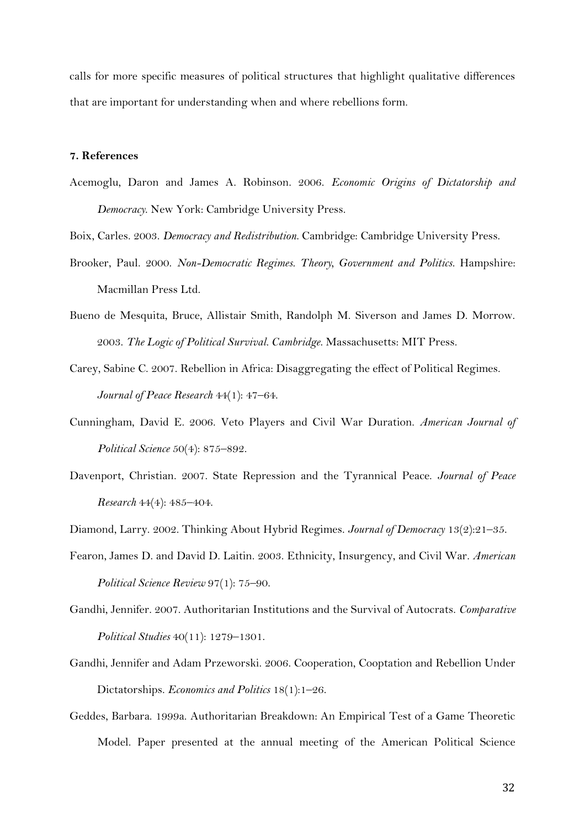calls for more specific measures of political structures that highlight qualitative differences that are important for understanding when and where rebellions form.

# **7. References**

- Acemoglu, Daron and James A. Robinson. 2006. *Economic Origins of Dictatorship and Democracy*. New York: Cambridge University Press.
- Boix, Carles. 2003. *Democracy and Redistribution*. Cambridge: Cambridge University Press.
- Brooker, Paul. 2000. *Non-Democratic Regimes. Theory, Government and Politics*. Hampshire: Macmillan Press Ltd.
- Bueno de Mesquita, Bruce, Allistair Smith, Randolph M. Siverson and James D. Morrow. 2003. *The Logic of Political Survival. Cambridge*. Massachusetts: MIT Press.
- Carey, Sabine C. 2007. Rebellion in Africa: Disaggregating the effect of Political Regimes. *Journal of Peace Research* 44(1): 47–64.
- Cunningham, David E. 2006. Veto Players and Civil War Duration. *American Journal of Political Science* 50(4): 875–892.
- Davenport, Christian. 2007. State Repression and the Tyrannical Peace. *Journal of Peace Research* 44(4): 485–404.

Diamond, Larry. 2002. Thinking About Hybrid Regimes. *Journal of Democracy* 13(2):21–35.

- Fearon, James D. and David D. Laitin. 2003. Ethnicity, Insurgency, and Civil War. *American Political Science Review* 97(1): 75–90.
- Gandhi, Jennifer. 2007. Authoritarian Institutions and the Survival of Autocrats. *Comparative Political Studies* 40(11): 1279–1301.
- Gandhi, Jennifer and Adam Przeworski. 2006. Cooperation, Cooptation and Rebellion Under Dictatorships. *Economics and Politics* 18(1):1–26.
- Geddes, Barbara. 1999a. Authoritarian Breakdown: An Empirical Test of a Game Theoretic Model. Paper presented at the annual meeting of the American Political Science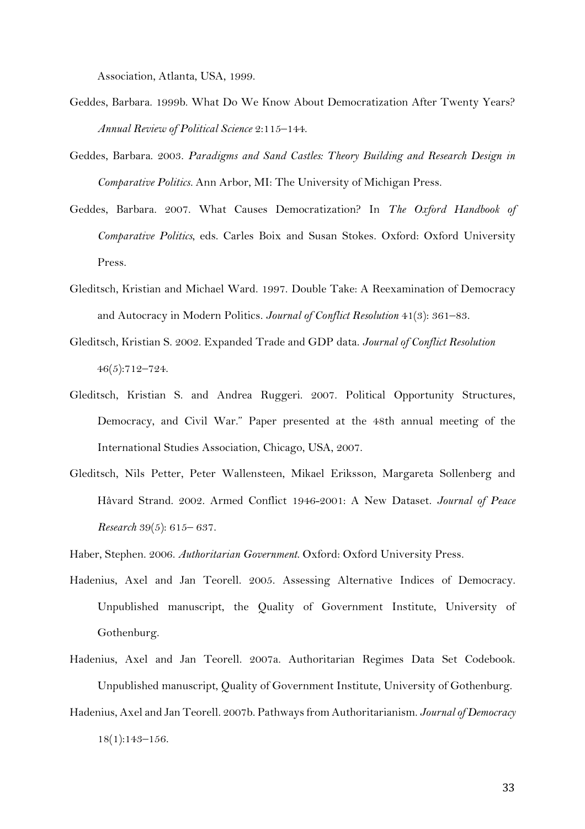Association, Atlanta, USA, 1999.

- Geddes, Barbara. 1999b. What Do We Know About Democratization After Twenty Years? *Annual Review of Political Science* 2:115–144.
- Geddes, Barbara. 2003. *Paradigms and Sand Castles: Theory Building and Research Design in Comparative Politics.* Ann Arbor, MI: The University of Michigan Press.
- Geddes, Barbara. 2007. What Causes Democratization? In *The Oxford Handbook of Comparative Politics*, eds. Carles Boix and Susan Stokes. Oxford: Oxford University Press.
- Gleditsch, Kristian and Michael Ward. 1997. Double Take: A Reexamination of Democracy and Autocracy in Modern Politics. *Journal of Conflict Resolution* 41(3): 361–83.
- Gleditsch, Kristian S. 2002. Expanded Trade and GDP data. *Journal of Conflict Resolution* 46(5):712–724.
- Gleditsch, Kristian S. and Andrea Ruggeri. 2007. Political Opportunity Structures, Democracy, and Civil War." Paper presented at the 48th annual meeting of the International Studies Association, Chicago, USA, 2007.
- Gleditsch, Nils Petter, Peter Wallensteen, Mikael Eriksson, Margareta Sollenberg and Håvard Strand. 2002. Armed Conflict 1946-2001: A New Dataset. *Journal of Peace Research* 39(5): 615– 637.

Haber, Stephen. 2006. *Authoritarian Government*. Oxford: Oxford University Press.

- Hadenius, Axel and Jan Teorell. 2005. Assessing Alternative Indices of Democracy. Unpublished manuscript, the Quality of Government Institute, University of Gothenburg.
- Hadenius, Axel and Jan Teorell. 2007a. Authoritarian Regimes Data Set Codebook. Unpublished manuscript, Quality of Government Institute, University of Gothenburg.
- Hadenius, Axel and Jan Teorell. 2007b. Pathways from Authoritarianism. *Journal of Democracy* 18(1):143–156.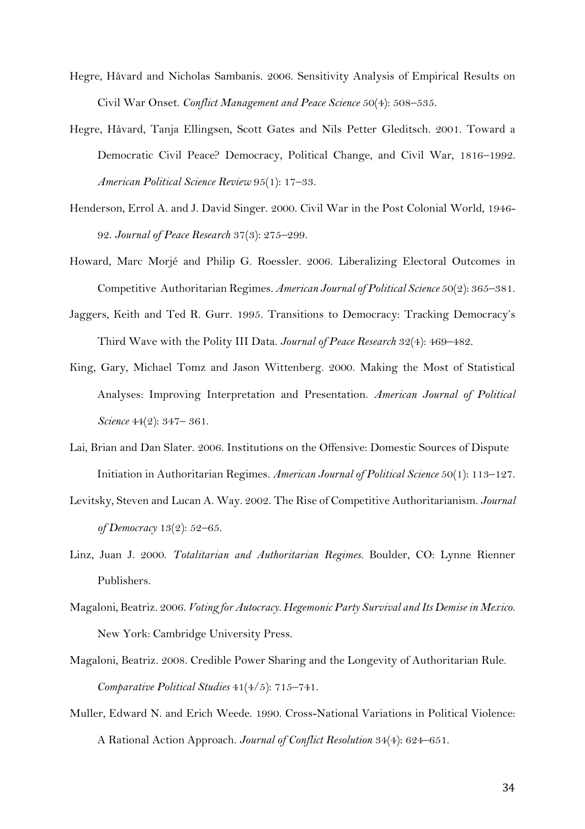- Hegre, Håvard and Nicholas Sambanis. 2006. Sensitivity Analysis of Empirical Results on Civil War Onset. *Conflict Management and Peace Science* 50(4): 508–535.
- Hegre, Håvard, Tanja Ellingsen, Scott Gates and Nils Petter Gleditsch. 2001. Toward a Democratic Civil Peace? Democracy, Political Change, and Civil War, 1816–1992. *American Political Science Review* 95(1): 17–33.
- Henderson, Errol A. and J. David Singer. 2000. Civil War in the Post Colonial World, 1946- 92. *Journal of Peace Research* 37(3): 275–299.
- Howard, Marc Morjé and Philip G. Roessler. 2006. Liberalizing Electoral Outcomes in Competitive Authoritarian Regimes. *American Journal of Political Science* 50(2): 365–381.
- Jaggers, Keith and Ted R. Gurr. 1995. Transitions to Democracy: Tracking Democracy's Third Wave with the Polity III Data. *Journal of Peace Research* 32(4): 469–482.
- King, Gary, Michael Tomz and Jason Wittenberg. 2000. Making the Most of Statistical Analyses: Improving Interpretation and Presentation. *American Journal of Political Science* 44(2): 347– 361.
- Lai, Brian and Dan Slater. 2006. Institutions on the Offensive: Domestic Sources of Dispute Initiation in Authoritarian Regimes. *American Journal of Political Science* 50(1): 113–127.
- Levitsky, Steven and Lucan A. Way. 2002. The Rise of Competitive Authoritarianism. *Journal of Democracy* 13(2): 52–65.
- Linz, Juan J. 2000. *Totalitarian and Authoritarian Regimes*. Boulder, CO: Lynne Rienner Publishers.
- Magaloni, Beatriz. 2006. *Voting for Autocracy. Hegemonic Party Survival and Its Demise in Mexico*. New York: Cambridge University Press.
- Magaloni, Beatriz. 2008. Credible Power Sharing and the Longevity of Authoritarian Rule. *Comparative Political Studies* 41(4/5): 715–741.
- Muller, Edward N. and Erich Weede. 1990. Cross-National Variations in Political Violence: A Rational Action Approach. *Journal of Conflict Resolution* 34(4): 624–651.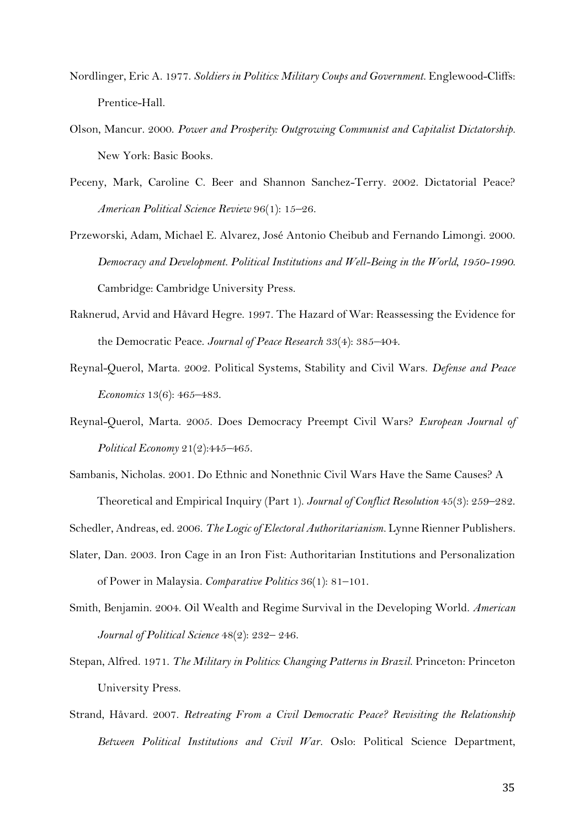- Nordlinger, Eric A. 1977. *Soldiers in Politics: Military Coups and Government*. Englewood-Cliffs: Prentice-Hall.
- Olson, Mancur. 2000. *Power and Prosperity: Outgrowing Communist and Capitalist Dictatorship.* New York: Basic Books.
- Peceny, Mark, Caroline C. Beer and Shannon Sanchez-Terry. 2002. Dictatorial Peace? *American Political Science Review* 96(1): 15–26.
- Przeworski, Adam, Michael E. Alvarez, José Antonio Cheibub and Fernando Limongi. 2000. *Democracy and Development. Political Institutions and Well-Being in the World, 1950-1990.* Cambridge: Cambridge University Press.
- Raknerud, Arvid and Håvard Hegre. 1997. The Hazard of War: Reassessing the Evidence for the Democratic Peace. *Journal of Peace Research* 33(4): 385–404.
- Reynal-Querol, Marta. 2002. Political Systems, Stability and Civil Wars. *Defense and Peace Economics* 13(6): 465–483.
- Reynal-Querol, Marta. 2005. Does Democracy Preempt Civil Wars? *European Journal of Political Economy* 21(2):445–465.
- Sambanis, Nicholas. 2001. Do Ethnic and Nonethnic Civil Wars Have the Same Causes? A

Theoretical and Empirical Inquiry (Part 1). *Journal of Conflict Resolution* 45(3): 259–282.

Schedler, Andreas, ed. 2006. *The Logic of Electoral Authoritarianism.* Lynne Rienner Publishers.

- Slater, Dan. 2003. Iron Cage in an Iron Fist: Authoritarian Institutions and Personalization of Power in Malaysia*. Comparative Politics* 36(1): 81–101.
- Smith, Benjamin. 2004. Oil Wealth and Regime Survival in the Developing World. *American Journal of Political Science* 48(2): 232– 246.
- Stepan, Alfred. 1971. *The Military in Politics: Changing Patterns in Brazil*. Princeton: Princeton University Press.
- Strand, Håvard. 2007. *Retreating From a Civil Democratic Peace? Revisiting the Relationship Between Political Institutions and Civil War.* Oslo: Political Science Department,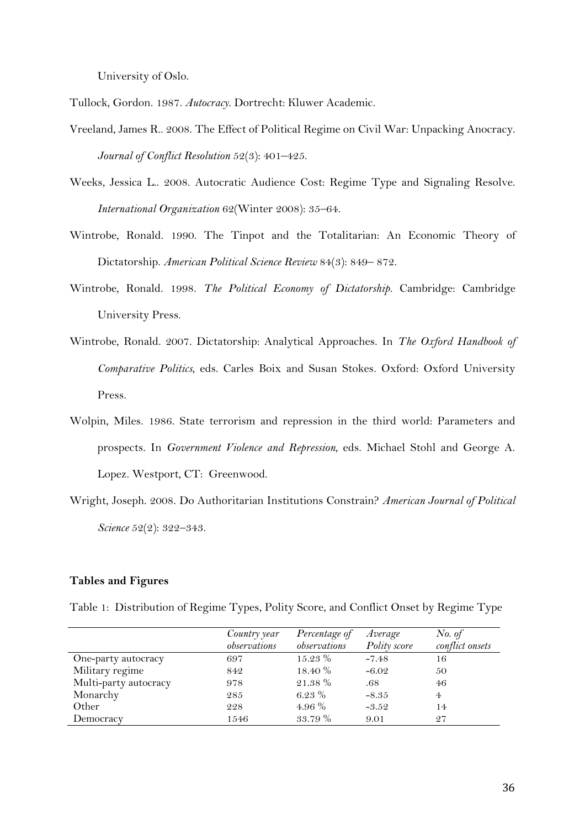University of Oslo.

Tullock, Gordon. 1987. *Autocracy*. Dortrecht: Kluwer Academic.

- Vreeland, James R.. 2008. The Effect of Political Regime on Civil War: Unpacking Anocracy. *Journal of Conflict Resolution* 52(3): 401–425.
- Weeks, Jessica L.. 2008. Autocratic Audience Cost: Regime Type and Signaling Resolve. *International Organization* 62(Winter 2008): 35–64.
- Wintrobe, Ronald. 1990. The Tinpot and the Totalitarian: An Economic Theory of Dictatorship. *American Political Science Review* 84(3): 849– 872.
- Wintrobe, Ronald. 1998. *The Political Economy of Dictatorship*. Cambridge: Cambridge University Press.
- Wintrobe, Ronald. 2007. Dictatorship: Analytical Approaches. In *The Oxford Handbook of Comparative Politics*, eds. Carles Boix and Susan Stokes. Oxford: Oxford University Press.
- Wolpin, Miles. 1986. State terrorism and repression in the third world: Parameters and prospects. In *Government Violence and Repression*, eds. Michael Stohl and George A. Lopez. Westport, CT: Greenwood.
- Wright, Joseph. 2008. Do Authoritarian Institutions Constrain? *American Journal of Political Science* 52(2): 322–343.

# **Tables and Figures**

|  |  | Table 1: Distribution of Regime Types, Polity Score, and Conflict Onset by Regime Type |  |
|--|--|----------------------------------------------------------------------------------------|--|
|  |  |                                                                                        |  |

|                       | Country year<br>observations | Percentage of<br>observations | Average<br>Polity score | No. of<br>conflict onsets |
|-----------------------|------------------------------|-------------------------------|-------------------------|---------------------------|
| One-party autocracy   | 697                          | $15.23\%$                     | $-7.48$                 | 16                        |
| Military regime       | 842                          | 18.40 %                       | $-6.02$                 | 50                        |
| Multi-party autocracy | 978                          | 21.38 %                       | .68                     | 46                        |
| Monarchy              | 285                          | 6.23 $%$                      | $-8.35$                 | $\overline{4}$            |
| Other                 | 228                          | 4.96 $%$                      | $-3.52$                 | 14                        |
| Democracy             | 1546                         | 33.79 %                       | 9.01                    | 27                        |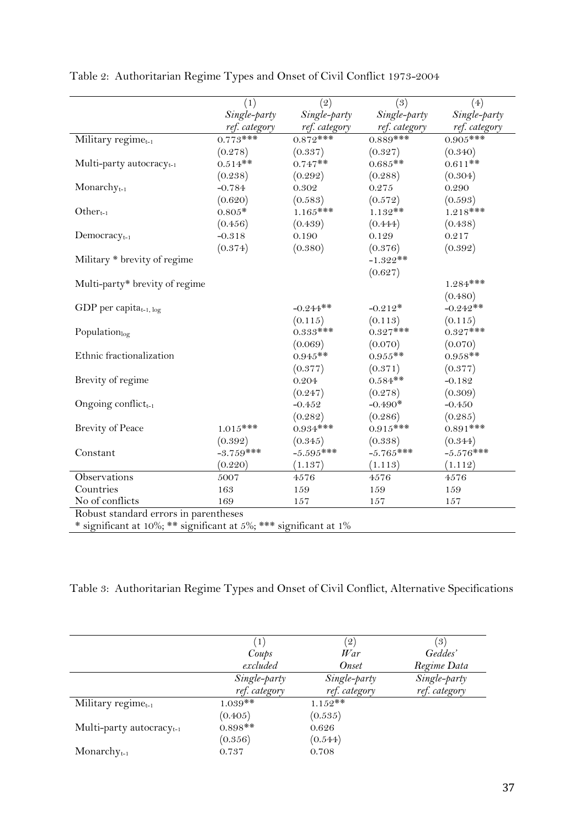|                                                                   | (1)           | (2)           | (3)           | (4)           |
|-------------------------------------------------------------------|---------------|---------------|---------------|---------------|
|                                                                   | Single-party  | Single-party  | Single-party  | Single-party  |
|                                                                   | ref. category | ref. category | ref. category | ref. category |
| Military regime <sub>t-1</sub>                                    | $0.773***$    | $0.872***$    | $0.889$ ***   | $0.905***$    |
|                                                                   | (0.278)       | (0.337)       | (0.327)       | (0.340)       |
| Multi-party autocracy <sub>t-1</sub>                              | $0.514**$     | $0.747**$     | $0.685**$     | $0.611**$     |
|                                                                   | (0.238)       | (0.292)       | (0.288)       | (0.304)       |
| $Monarchyt-1$                                                     | $-0.784$      | 0.302         | $0.275\,$     | 0.290         |
|                                                                   | (0.620)       | (0.583)       | (0.572)       | (0.593)       |
| Other $_{t-1}$                                                    | $0.805*$      | $1.165***$    | $1.132**$     | $1.218***$    |
|                                                                   | (0.456)       | (0.439)       | (0.444)       | (0.438)       |
| $Democracyt-1$                                                    | $-0.318$      | 0.190         | 0.129         | 0.217         |
|                                                                   | (0.374)       | (0.380)       | (0.376)       | (0.392)       |
| Military * brevity of regime                                      |               |               | $-1.322**$    |               |
|                                                                   |               |               | (0.627)       |               |
| Multi-party* brevity of regime                                    |               |               |               | $1.284***$    |
|                                                                   |               |               |               | (0.480)       |
| GDP per capita $_{t-1, \log}$                                     |               | $-0.244**$    | $-0.212*$     | $-0.242**$    |
|                                                                   |               | (0.115)       | (0.113)       | (0.115)       |
| Populationlog                                                     |               | $0.333***$    | $0.327***$    | $0.327***$    |
|                                                                   |               | (0.069)       | (0.070)       | (0.070)       |
| Ethnic fractionalization                                          |               | $0.945**$     | $0.955**$     | $0.958**$     |
|                                                                   |               | (0.377)       | (0.371)       | (0.377)       |
| Brevity of regime                                                 |               | 0.204         | $0.584**$     | $-0.182$      |
|                                                                   |               | (0.247)       | (0.278)       | (0.309)       |
| Ongoing conflict-1                                                |               | $-0.452$      | $-0.490*$     | $-0.450$      |
|                                                                   |               | (0.282)       | (0.286)       | (0.285)       |
| <b>Brevity of Peace</b>                                           | $1.015***$    | $0.934***$    | $0.915***$    | $0.891***$    |
|                                                                   | (0.392)       | (0.345)       | (0.338)       | (0.344)       |
| Constant                                                          | $-3.759***$   | $-5.595***$   | $-5.765***$   | $-5.576***$   |
|                                                                   | (0.220)       | (1.137)       | (1.113)       | (1.112)       |
| Observations                                                      | 5007          | 4576          | 4576          | 4576          |
| Countries                                                         | 163           | 159           | 159           | 159           |
| No of conflicts                                                   | 169           | 157           | 157           | 157           |
| Robust standard errors in parentheses                             |               |               |               |               |
| * significant at 10%; ** significant at 5%; *** significant at 1% |               |               |               |               |

Table 2: Authoritarian Regime Types and Onset of Civil Conflict 1973-2004

Table 3: Authoritarian Regime Types and Onset of Civil Conflict, Alternative Specifications

|                                | $\left  \right $ | $\left( 2\right)$ | (3)           |
|--------------------------------|------------------|-------------------|---------------|
|                                | Coups            | $\eta_{ar}$       | Geddes'       |
|                                | excluded         | Onset             | Regime Data   |
|                                | Single-party     | Single-party      | Single-party  |
|                                | ref. category    | ref. category     | ref. category |
| Military regime $_{t-1}$       | $1.039**$        | $1.152**$         |               |
|                                | (0.405)          | (0.535)           |               |
| Multi-party autocracy $_{t-1}$ | $0.898**$        | 0.626             |               |
|                                | (0.356)          | (0.544)           |               |
| Monarchy $_{t-1}$              | 0.737            | 0.708             |               |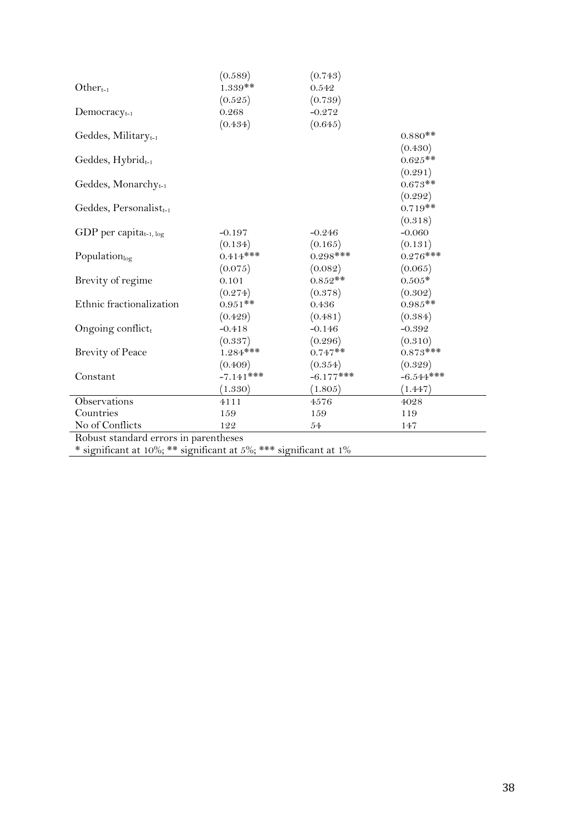|                                       | (0.589)     | (0.743)     |             |
|---------------------------------------|-------------|-------------|-------------|
| $Other_{t-1}$                         | $1.339**$   | 0.542       |             |
|                                       | (0.525)     | (0.739)     |             |
| $D$ emocracy <sub>t-1</sub>           | 0.268       | $-0.272$    |             |
|                                       | (0.434)     | (0.645)     |             |
| Geddes, Military $_{t-1}$             |             |             | $0.880**$   |
|                                       |             |             | (0.430)     |
| Geddes, Hybrid <sub>t-1</sub>         |             |             | $0.625**$   |
|                                       |             |             | (0.291)     |
| Geddes, Monarchy <sub>t-1</sub>       |             |             | $0.673**$   |
|                                       |             |             | (0.292)     |
| Geddes, Personalist <sub>t-1</sub>    |             |             | $0.719**$   |
|                                       |             |             | (0.318)     |
| GDP per capita <sub>t-1, log</sub>    | $-0.197$    | $-0.246$    | $-0.060$    |
|                                       | (0.134)     | (0.165)     | (0.131)     |
| Population $_{\text{log}}$            | $0.414***$  | $0.298***$  | $0.276***$  |
|                                       | (0.075)     | (0.082)     | (0.065)     |
| Brevity of regime                     | 0.101       | $0.852**$   | $0.505*$    |
|                                       | (0.274)     | (0.378)     | (0.302)     |
| Ethnic fractionalization              | $0.951**$   | 0.436       | $0.985**$   |
|                                       | (0.429)     | (0.481)     | (0.384)     |
| Ongoing conflict,                     | $-0.418$    | $-0.146$    | $-0.392$    |
|                                       | (0.337)     | (0.296)     | (0.310)     |
| <b>Brevity of Peace</b>               | $1.284***$  | $0.747**$   | $0.873***$  |
|                                       | (0.409)     | (0.354)     | (0.329)     |
| Constant                              | $-7.141***$ | $-6.177***$ | $-6.544***$ |
|                                       | (1.330)     | (1.805)     | (1.447)     |
| Observations                          | 4111        | 4576        | 4028        |
| Countries                             | 159         | 159         | 119         |
| No of Conflicts                       | 122         | 54          | 147         |
| Robust standard errors in parentheses |             |             |             |

\* significant at 10%; \*\* significant at 5%; \*\*\* significant at 1%